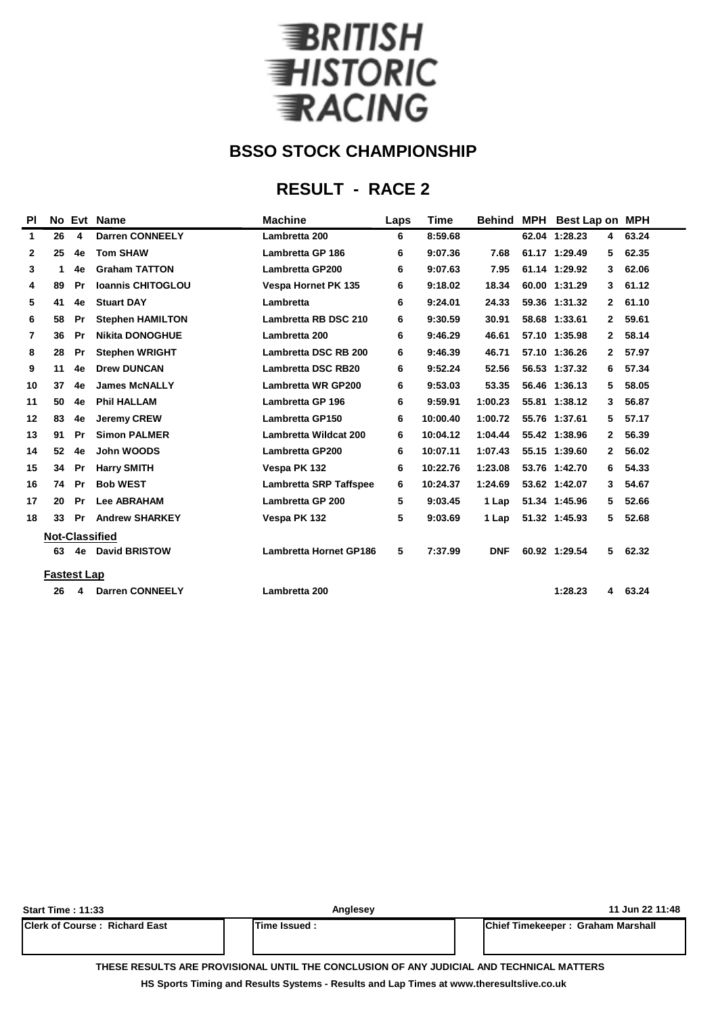

## **RESULT - RACE 2**

| PI |                       | No Evt | <b>Name</b>              | <b>Machine</b>                | Laps | Time     | <b>Behind</b> | <b>MPH</b> | Best Lap on   |              | <b>MPH</b> |
|----|-----------------------|--------|--------------------------|-------------------------------|------|----------|---------------|------------|---------------|--------------|------------|
| 1  | 26                    | 4      | <b>Darren CONNEELY</b>   | Lambretta 200                 | 6    | 8:59.68  |               |            | 62.04 1:28.23 | 4            | 63.24      |
| 2  | 25                    | 4e     | <b>Tom SHAW</b>          | <b>Lambretta GP 186</b>       | 6    | 9:07.36  | 7.68          |            | 61.17 1:29.49 | 5            | 62.35      |
| 3  | 1                     | 4e     | <b>Graham TATTON</b>     | <b>Lambretta GP200</b>        | 6    | 9:07.63  | 7.95          |            | 61.14 1:29.92 | 3            | 62.06      |
| 4  | 89                    | Pr     | <b>Ioannis CHITOGLOU</b> | <b>Vespa Hornet PK 135</b>    | 6    | 9:18.02  | 18.34         |            | 60.00 1:31.29 | 3            | 61.12      |
| 5  | 41                    | 4e     | <b>Stuart DAY</b>        | Lambretta                     | 6    | 9:24.01  | 24.33         |            | 59.36 1:31.32 | $\mathbf{2}$ | 61.10      |
| 6  | 58                    | Pr     | <b>Stephen HAMILTON</b>  | Lambretta RB DSC 210          | 6    | 9:30.59  | 30.91         |            | 58.68 1:33.61 | 2            | 59.61      |
| 7  | 36                    | Pr     | <b>Nikita DONOGHUE</b>   | Lambretta 200                 | 6    | 9:46.29  | 46.61         |            | 57.10 1:35.98 | $\mathbf{2}$ | 58.14      |
| 8  | 28                    | Pr     | <b>Stephen WRIGHT</b>    | Lambretta DSC RB 200          | 6    | 9:46.39  | 46.71         |            | 57.10 1:36.26 | 2            | 57.97      |
| 9  | 11                    | 4e     | <b>Drew DUNCAN</b>       | <b>Lambretta DSC RB20</b>     | 6    | 9:52.24  | 52.56         |            | 56.53 1:37.32 | 6            | 57.34      |
| 10 | 37                    | 4e     | <b>James McNALLY</b>     | <b>Lambretta WR GP200</b>     | 6    | 9:53.03  | 53.35         |            | 56.46 1:36.13 | 5            | 58.05      |
| 11 | 50                    | 4e     | <b>Phil HALLAM</b>       | Lambretta GP 196              | 6    | 9:59.91  | 1:00.23       |            | 55.81 1:38.12 | 3            | 56.87      |
| 12 | 83                    | 4e     | <b>Jeremy CREW</b>       | <b>Lambretta GP150</b>        | 6    | 10:00.40 | 1:00.72       |            | 55.76 1:37.61 | 5            | 57.17      |
| 13 | 91                    | Pr     | <b>Simon PALMER</b>      | Lambretta Wildcat 200         | 6    | 10:04.12 | 1:04.44       |            | 55.42 1:38.96 | 2            | 56.39      |
| 14 | 52                    | 4e     | John WOODS               | <b>Lambretta GP200</b>        | 6    | 10:07.11 | 1:07.43       |            | 55.15 1:39.60 | 2            | 56.02      |
| 15 | 34                    | Pr     | <b>Harry SMITH</b>       | Vespa PK 132                  | 6    | 10:22.76 | 1:23.08       |            | 53.76 1:42.70 | 6            | 54.33      |
| 16 | 74                    | Pr     | <b>Bob WEST</b>          | <b>Lambretta SRP Taffspee</b> | 6    | 10:24.37 | 1:24.69       |            | 53.62 1:42.07 | 3            | 54.67      |
| 17 | 20                    | Pr     | <b>Lee ABRAHAM</b>       | Lambretta GP 200              | 5    | 9:03.45  | 1 Lap         |            | 51.34 1:45.96 | 5            | 52.66      |
| 18 | 33                    | Pr     | <b>Andrew SHARKEY</b>    | Vespa PK 132                  | 5    | 9:03.69  | 1 Lap         |            | 51.32 1:45.93 | 5            | 52.68      |
|    | <b>Not-Classified</b> |        |                          |                               |      |          |               |            |               |              |            |
|    | 63                    | 4e     | <b>David BRISTOW</b>     | <b>Lambretta Hornet GP186</b> | 5    | 7:37.99  | <b>DNF</b>    |            | 60.92 1:29.54 | 5            | 62.32      |
|    | <b>Fastest Lap</b>    |        |                          |                               |      |          |               |            |               |              |            |
|    | 26                    | 4      | <b>Darren CONNEELY</b>   | Lambretta 200                 |      |          |               |            | 1:28.23       | 4            | 63.24      |
|    |                       |        |                          |                               |      |          |               |            |               |              |            |

| <b>Start Time: 11:33</b>             | Anglesey             | 11 Jun 22 11:48                   |  |
|--------------------------------------|----------------------|-----------------------------------|--|
| <b>Clerk of Course: Richard East</b> | <b>ITime Issued:</b> | Chief Timekeeper: Graham Marshall |  |
|                                      |                      |                                   |  |

**THESE RESULTS ARE PROVISIONAL UNTIL THE CONCLUSION OF ANY JUDICIAL AND TECHNICAL MATTERS**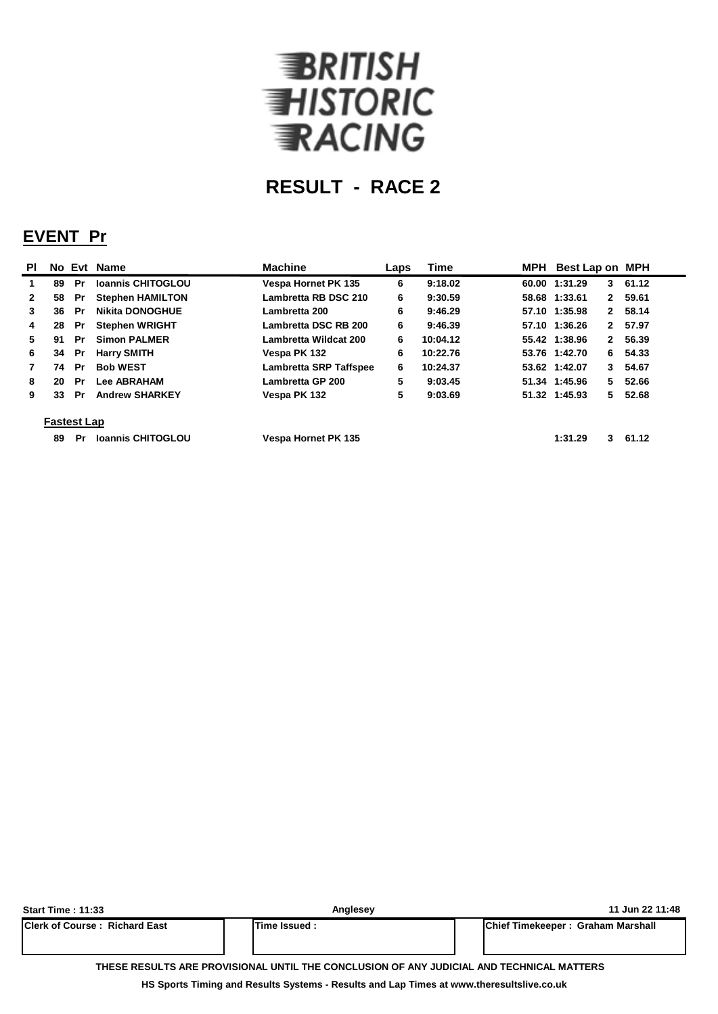

## **EVENT Pr**

| <b>PI</b>    |                    |    | No Evt Name              | <b>Machine</b>                | Laps | <b>Time</b> | MPH | Best Lap on MPH               |       |
|--------------|--------------------|----|--------------------------|-------------------------------|------|-------------|-----|-------------------------------|-------|
| 1            | 89                 | Pr | <b>Ioannis CHITOGLOU</b> | <b>Vespa Hornet PK 135</b>    | 6    | 9:18.02     |     | 60.00 1:31.29<br>3            | 61.12 |
| $\mathbf{2}$ | 58                 | Pr | <b>Stephen HAMILTON</b>  | Lambretta RB DSC 210          | 6    | 9:30.59     |     | 58.68 1:33.61<br>$\mathbf{2}$ | 59.61 |
| 3            | 36                 | Pr | <b>Nikita DONOGHUE</b>   | Lambretta 200                 | 6    | 9:46.29     |     | 57.10 1:35.98<br>$\mathbf{2}$ | 58.14 |
| 4            | 28                 | Pr | <b>Stephen WRIGHT</b>    | Lambretta DSC RB 200          | 6    | 9:46.39     |     | 57.10 1:36.26<br>2            | 57.97 |
| 5.           | 91                 | Pr | <b>Simon PALMER</b>      | Lambretta Wildcat 200         | 6    | 10:04.12    |     | 55.42 1:38.96<br>$\mathbf{2}$ | 56.39 |
| 6            | 34                 | Pr | <b>Harry SMITH</b>       | Vespa PK 132                  | 6    | 10:22.76    |     | 53.76 1:42.70<br>6            | 54.33 |
| 7            | 74                 | Pr | <b>Bob WEST</b>          | <b>Lambretta SRP Taffspee</b> | 6    | 10:24.37    |     | 53.62 1:42.07<br>3            | 54.67 |
| 8            | 20                 | Pr | <b>Lee ABRAHAM</b>       | Lambretta GP 200              | 5    | 9:03.45     |     | 51.34 1:45.96<br>5.           | 52.66 |
| 9            | 33                 | Pr | <b>Andrew SHARKEY</b>    | Vespa PK 132                  | 5    | 9:03.69     |     | 51.32 1:45.93<br>5.           | 52.68 |
|              | <b>Fastest Lap</b> |    |                          |                               |      |             |     |                               |       |
|              | 89                 | Pr | <b>Ioannis CHITOGLOU</b> | <b>Vespa Hornet PK 135</b>    |      |             |     | 1:31.29<br>3                  | 61.12 |

| <b>Start Time: 11:33</b>              | Anglesey                                                                                 | 11 Jun 22 11:48                   |
|---------------------------------------|------------------------------------------------------------------------------------------|-----------------------------------|
| <b>IClerk of Course: Richard East</b> | lTime Issued :                                                                           | Chief Timekeeper: Graham Marshall |
|                                       | THESE RESULTS ARE PROVISIONAL UNTIL THE CONCLUSION OF ANY JUDICIAL AND TECHNICAL MATTERS |                                   |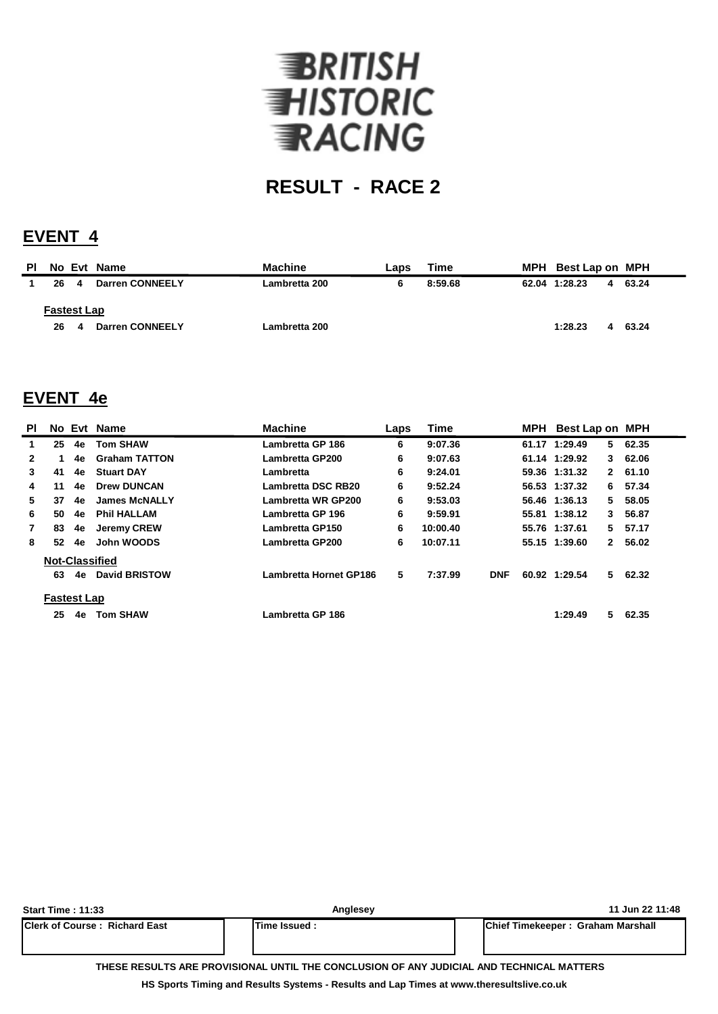

## **EVENT 4**

| <b>PI</b> |                          |   | No Evt Name            | <b>Machine</b> | Laps | Time    | MPH Best Lap on MPH |   |       |
|-----------|--------------------------|---|------------------------|----------------|------|---------|---------------------|---|-------|
|           | 26                       | 4 | <b>Darren CONNEELY</b> | Lambretta 200  | 6    | 8:59.68 | 62.04 1:28.23       | 4 | 63.24 |
|           | <b>Fastest Lap</b><br>26 | 4 | Darren CONNEELY        | Lambretta 200  |      |         | 1:28.23             |   | 63.24 |
|           |                          |   |                        |                |      |         |                     |   |       |

### **EVENT 4e**

| <b>PI</b>    |                    |    | No Evt Name           | <b>Machine</b>            | <b>Time</b><br>Laps |          |            | MPH Best Lap on MPH |               |    |         |
|--------------|--------------------|----|-----------------------|---------------------------|---------------------|----------|------------|---------------------|---------------|----|---------|
| 1.           | 25                 | 4e | <b>Tom SHAW</b>       | Lambretta GP 186          | 6                   | 9:07.36  |            |                     | 61.17 1:29.49 |    | 562.35  |
| $\mathbf{2}$ |                    | 4e | <b>Graham TATTON</b>  | Lambretta GP200           | 6                   | 9:07.63  |            |                     | 61.14 1:29.92 | 3  | 62.06   |
| 3            | 41                 | 4e | <b>Stuart DAY</b>     | Lambretta                 | 6                   | 9:24.01  |            |                     | 59.36 1:31.32 |    | 2 61.10 |
| 4            | 11                 | 4e | <b>Drew DUNCAN</b>    | <b>Lambretta DSC RB20</b> | 6                   | 9:52.24  |            |                     | 56.53 1:37.32 | 6. | 57.34   |
| 5.           | 37                 | 4e | <b>James McNALLY</b>  | Lambretta WR GP200        | 6                   | 9:53.03  |            |                     | 56.46 1:36.13 | 5. | 58.05   |
| 6            | 50                 | 4e | <b>Phil HALLAM</b>    | Lambretta GP 196          | 6                   | 9:59.91  |            |                     | 55.81 1:38.12 | 3  | 56.87   |
| $\mathbf{7}$ | 83                 | 4e | <b>Jeremy CREW</b>    | <b>Lambretta GP150</b>    | 6                   | 10:00.40 |            |                     | 55.76 1:37.61 | 5. | 57.17   |
| 8            | 52                 | 4e | John WOODS            | Lambretta GP200           | 6                   | 10:07.11 |            |                     | 55.15 1:39.60 | 2  | 56.02   |
|              |                    |    | <b>Not-Classified</b> |                           |                     |          |            |                     |               |    |         |
|              | 63                 | 4e | <b>David BRISTOW</b>  | Lambretta Hornet GP186    | 5                   | 7:37.99  | <b>DNF</b> |                     | 60.92 1:29.54 |    | 562.32  |
|              | <b>Fastest Lap</b> |    |                       |                           |                     |          |            |                     |               |    |         |
|              | 25                 | 4e | <b>Tom SHAW</b>       | Lambretta GP 186          |                     |          |            |                     | 1:29.49       | 5. | 62.35   |

| <b>Start Time: 11:33</b>             | Anglesey       |                                                                                          | 11 Jun 22 11:48 |
|--------------------------------------|----------------|------------------------------------------------------------------------------------------|-----------------|
| <b>Clerk of Course: Richard East</b> | lTime Issued : | <b>IChief Timekeeper: Graham Marshall</b>                                                |                 |
|                                      |                | THESE RESULTS ARE PROVISIONAL UNTIL THE CONCLUSION OF ANY JUDICIAL AND TECHNICAL MATTERS |                 |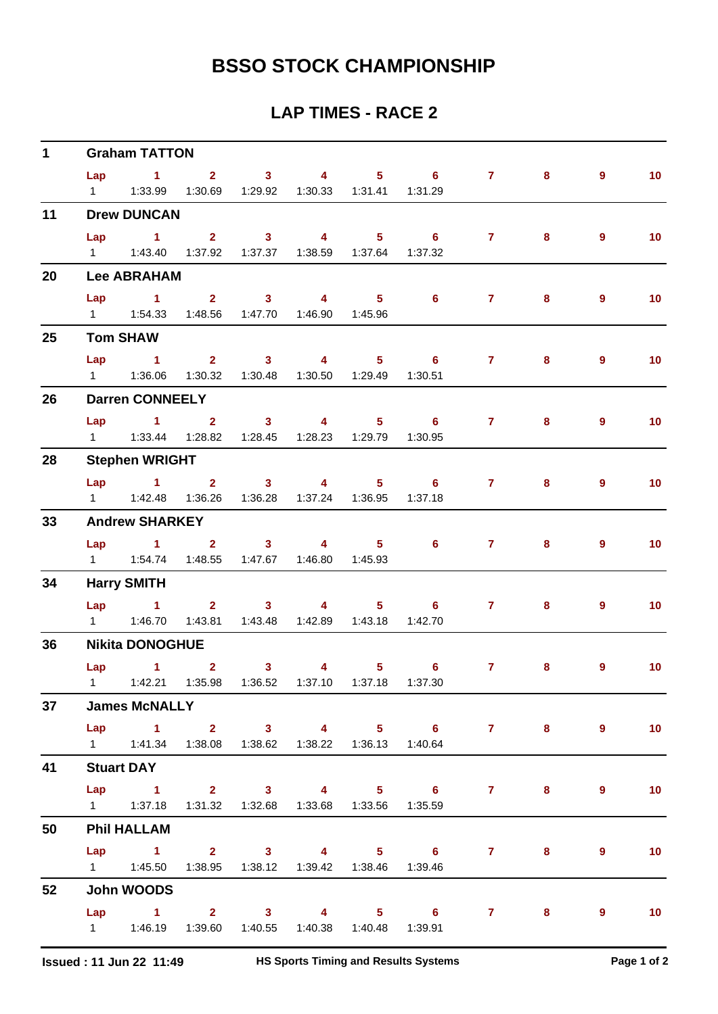| $\mathbf 1$ |     | <b>Graham TATTON</b>                                                |                                             |  |                                                               |                                         |   |                |                 |
|-------------|-----|---------------------------------------------------------------------|---------------------------------------------|--|---------------------------------------------------------------|-----------------------------------------|---|----------------|-----------------|
|             |     |                                                                     |                                             |  |                                                               | Lap 1 2 3 4 5 6 7                       | 8 | $\overline{9}$ | 10              |
|             |     | 1   1:33.99   1:30.69   1:29.92   1:30.33   1:31.41   1:31.29       |                                             |  |                                                               |                                         |   |                |                 |
| 11          |     | <b>Drew DUNCAN</b>                                                  |                                             |  |                                                               |                                         |   |                |                 |
|             | Lap | $1 \qquad 2 \qquad 3 \qquad 4 \qquad 5 \qquad 6$                    |                                             |  |                                                               | $\overline{7}$                          | 8 | $\overline{9}$ | 10 <sub>1</sub> |
|             |     | 1   1:43.40   1:37.92   1:37.37   1:38.59   1:37.64   1:37.32       |                                             |  |                                                               |                                         |   |                |                 |
| 20          |     | <b>Lee ABRAHAM</b>                                                  |                                             |  |                                                               |                                         |   |                |                 |
|             |     | Lap 1 2 3 4 5                                                       |                                             |  | $\overline{\phantom{a}}$ 6                                    | $7 -$                                   | 8 | $\overline{9}$ | 10              |
|             |     | 1   1:54.33   1:48.56   1:47.70   1:46.90   1:45.96                 |                                             |  |                                                               |                                         |   |                |                 |
| 25          |     | <b>Tom SHAW</b>                                                     |                                             |  |                                                               |                                         |   |                |                 |
|             | Lap |                                                                     |                                             |  | $1$ and $2$ and $3$ and $4$ and $5$ b $6$                     | $7 \pm 1$                               | 8 | $\overline{9}$ | 10              |
|             |     | 1   1:36.06   1:30.32   1:30.48   1:30.50   1:29.49   1:30.51       |                                             |  |                                                               |                                         |   |                |                 |
| 26          |     | <b>Darren CONNEELY</b>                                              |                                             |  |                                                               |                                         |   |                |                 |
|             |     |                                                                     |                                             |  |                                                               | Lap 1 2 3 4 5 6 7                       | 8 | $\overline{9}$ | 10              |
|             |     | 1   1:33.44   1:28.82   1:28.45   1:28.23   1:29.79   1:30.95       |                                             |  |                                                               |                                         |   |                |                 |
| 28          |     | <b>Stephen WRIGHT</b>                                               |                                             |  |                                                               |                                         |   |                |                 |
|             |     | Lap 1 2 3 4                                                         |                                             |  |                                                               | $5 \t\t 6 \t\t 7$                       | 8 | $\overline{9}$ | 10 <sub>1</sub> |
|             |     | 1   1:42.48   1:36.26   1:36.28   1:37.24   1:36.95   1:37.18       |                                             |  |                                                               |                                         |   |                |                 |
| 33          |     | <b>Andrew SHARKEY</b>                                               |                                             |  |                                                               |                                         |   |                |                 |
|             |     |                                                                     |                                             |  | Lap 1 2 3 4 5 6                                               | $7 - 7$                                 | 8 | $\overline{9}$ | 10              |
|             |     | 1   1:54.74   1:48.55   1:47.67   1:46.80   1:45.93                 |                                             |  |                                                               |                                         |   |                |                 |
| 34          |     | <b>Harry SMITH</b>                                                  |                                             |  |                                                               |                                         |   |                |                 |
|             |     |                                                                     |                                             |  | Lap 1 2 3 4 5 6                                               | $7 \pm 1$                               | 8 | 9              | 10              |
|             |     |                                                                     | 1:43.81  1:43.48  1:42.89  1:43.18  1:42.70 |  |                                                               |                                         |   |                |                 |
| 36          |     | <b>Nikita DONOGHUE</b>                                              |                                             |  |                                                               |                                         |   |                |                 |
|             |     | $Lap$ 1 2                                                           |                                             |  |                                                               | $3 \qquad 4 \qquad 5 \qquad 6 \qquad 7$ | 8 | 9              | 10              |
|             |     |                                                                     |                                             |  | 1   1:42.21   1:35.98   1:36.52   1:37.10   1:37.18   1:37.30 |                                         |   |                |                 |
| 37          |     | <b>James McNALLY</b>                                                |                                             |  |                                                               |                                         |   |                |                 |
|             |     |                                                                     |                                             |  |                                                               | Lap 1 2 3 4 5 6 7 8                     |   | $\overline{9}$ | 10              |
|             |     | 1   1:41.34   1:38.08   1:38.62   1:38.22   1:36.13   1:40.64       |                                             |  |                                                               |                                         |   |                |                 |
| 41          |     | <b>Stuart DAY</b>                                                   |                                             |  |                                                               |                                         |   |                |                 |
|             |     |                                                                     |                                             |  |                                                               | Lap 1 2 3 4 5 6 7 8                     |   | 9              | 10              |
|             |     | 1    1:37.18    1:31.32    1:32.68    1:33.68    1:33.56    1:35.59 |                                             |  |                                                               |                                         |   |                |                 |
| 50          |     | <b>Phil HALLAM</b>                                                  |                                             |  |                                                               |                                         |   |                |                 |
|             |     |                                                                     |                                             |  |                                                               | Lap 1 2 3 4 5 6 7 8                     |   | 9              | 10              |
|             |     | 1   1:45.50   1:38.95   1:38.12   1:39.42   1:38.46   1:39.46       |                                             |  |                                                               |                                         |   |                |                 |
| 52          |     | John WOODS                                                          |                                             |  |                                                               |                                         |   |                |                 |
|             |     |                                                                     |                                             |  |                                                               | Lap 1 2 3 4 5 6 7 8 9                   |   |                | $\sim$ 10       |
|             |     | 1   1:46.19   1:39.60   1:40.55   1:40.38   1:40.48   1:39.91       |                                             |  |                                                               |                                         |   |                |                 |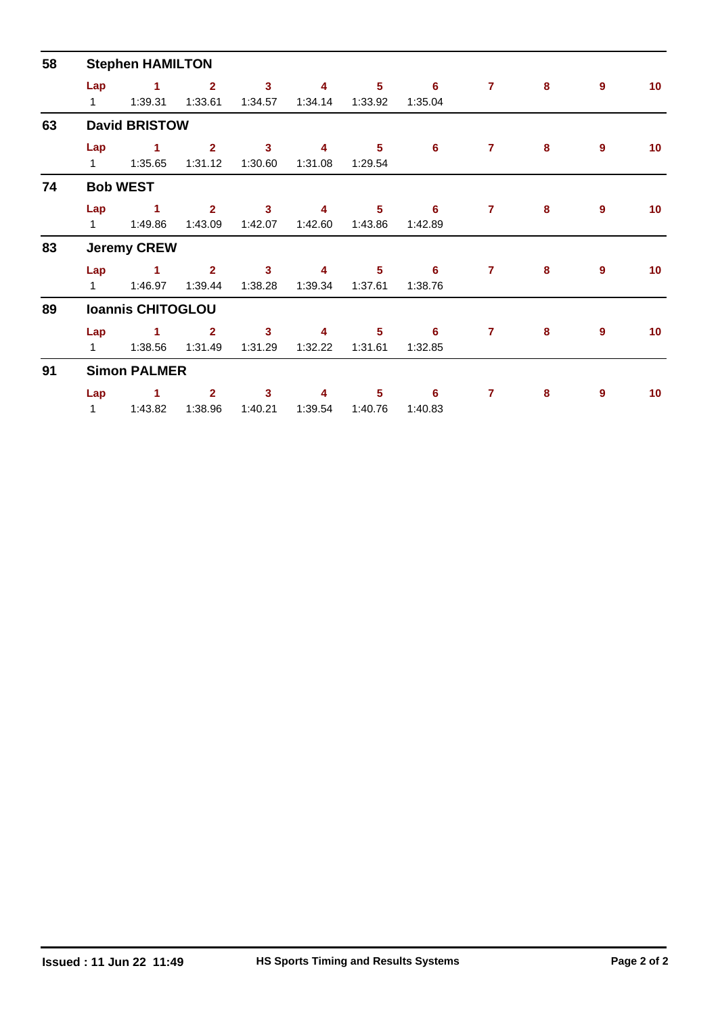| 58 |                     | <b>Stephen HAMILTON</b>  |                           |                           |              |                            | $\overline{7}$<br>8<br>9<br>6<br>1:35.04<br>6<br>8<br>9<br>$\mathbf{7}$<br>$\overline{7}$<br>8<br>9<br>6<br>1:42.89<br>$\overline{7}$<br>8<br>9<br>6<br>1:38.76 |                                                                                                                       |  |  |                 |
|----|---------------------|--------------------------|---------------------------|---------------------------|--------------|----------------------------|-----------------------------------------------------------------------------------------------------------------------------------------------------------------|-----------------------------------------------------------------------------------------------------------------------|--|--|-----------------|
|    | Lap<br>$\mathbf{1}$ | 1<br>1:39.31             | $\overline{2}$<br>1:33.61 | $\mathbf{3}$<br>1:34.57   | 4<br>1:34.14 | $5\phantom{1}$<br>1:33.92  |                                                                                                                                                                 |                                                                                                                       |  |  | 10 <sub>1</sub> |
| 63 |                     | <b>David BRISTOW</b>     |                           |                           |              |                            |                                                                                                                                                                 |                                                                                                                       |  |  |                 |
|    | Lap<br>$1 \quad$    | 1<br>1:35.65             | $\mathbf{2}$<br>1:31.12   | $\mathbf{3}$<br>1:30.60   | 4<br>1:31.08 | 5<br>1:29.54               |                                                                                                                                                                 |                                                                                                                       |  |  | 10              |
| 74 |                     | <b>Bob WEST</b>          |                           |                           |              |                            |                                                                                                                                                                 |                                                                                                                       |  |  |                 |
|    | Lap<br>$\mathbf{1}$ | 1<br>1:49.86             | $\overline{2}$<br>1:43.09 | $\mathbf{3}$<br>1:42.07   | 4<br>1:42.60 | $5\phantom{.0}$<br>1:43.86 |                                                                                                                                                                 |                                                                                                                       |  |  | 10 <sub>1</sub> |
| 83 |                     | <b>Jeremy CREW</b>       |                           |                           |              |                            |                                                                                                                                                                 | 10 <sub>1</sub><br>$\overline{7}$<br>$\pmb{8}$<br>9<br>10 <sup>1</sup><br>$\overline{7}$<br>8<br>9<br>10 <sub>1</sub> |  |  |                 |
|    | Lap<br>1            | 1.<br>1:46.97            | $\overline{2}$<br>1:39.44 | $\mathbf{3}$<br>1:38.28   | 4<br>1:39.34 | 5<br>1:37.61               |                                                                                                                                                                 |                                                                                                                       |  |  |                 |
| 89 |                     | <b>Ioannis CHITOGLOU</b> |                           |                           |              |                            |                                                                                                                                                                 |                                                                                                                       |  |  |                 |
|    | Lap<br>1            | 1<br>1:38.56             | $\overline{2}$<br>1:31.49 | $\overline{3}$<br>1:31.29 | 4<br>1:32.22 | $5\phantom{.0}$<br>1:31.61 | 6<br>1:32.85                                                                                                                                                    |                                                                                                                       |  |  |                 |
| 91 |                     | <b>Simon PALMER</b>      |                           |                           |              |                            |                                                                                                                                                                 |                                                                                                                       |  |  |                 |
|    | Lap<br>$\mathbf{1}$ | 1<br>1:43.82             | $\mathbf{2}$<br>1:38.96   | 3<br>1:40.21              | 4<br>1:39.54 | 5<br>1:40.76               | 6<br>1:40.83                                                                                                                                                    |                                                                                                                       |  |  |                 |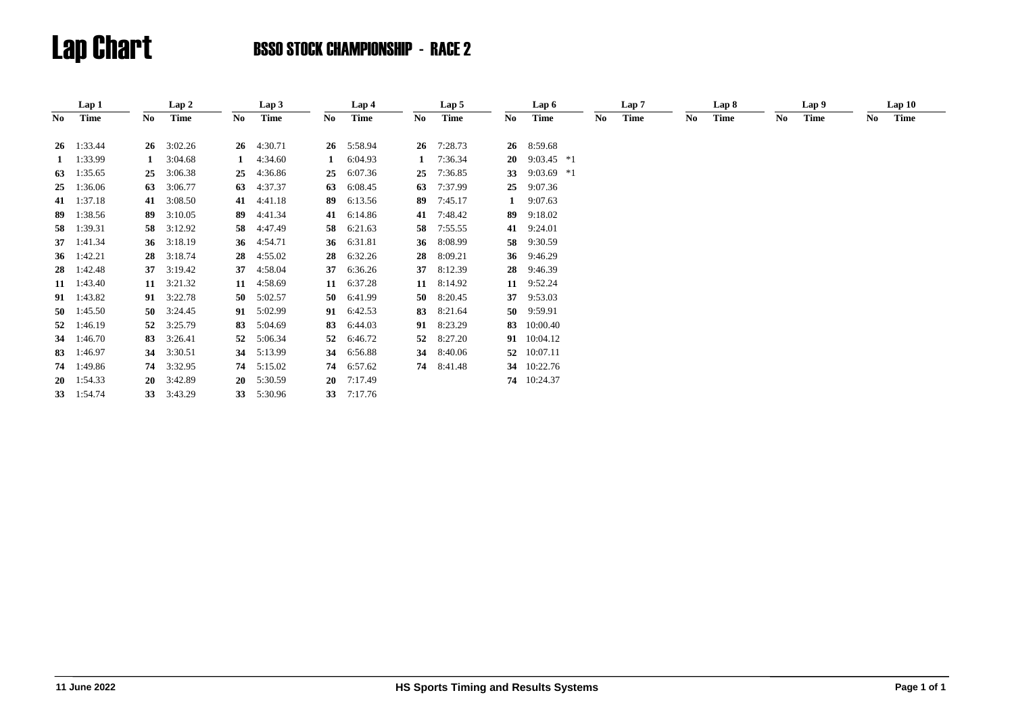|     | Lap 1              |    | Lap 2        |    | Lap 3              |    | Lap 4   |              | Lap 5       |    | Lap 6                  |     | Lap 7 |    | Lap 8 |     | Lap 9 |     | Lap10       |  |
|-----|--------------------|----|--------------|----|--------------------|----|---------|--------------|-------------|----|------------------------|-----|-------|----|-------|-----|-------|-----|-------------|--|
| No. | Time               | No | Time         | No | <b>Time</b>        | No | Time    | No           | <b>Time</b> | No | Time                   | No. | Time  | No | Time  | No. | Time  | No. | <b>Time</b> |  |
|     |                    |    |              |    |                    |    |         |              |             |    |                        |     |       |    |       |     |       |     |             |  |
|     | $26 \quad 1:33.44$ | 26 | 3:02.26      |    | $26 \quad 4:30.71$ | 26 | 5:58.94 |              | 26 7:28.73  |    | 26 8:59.68             |     |       |    |       |     |       |     |             |  |
|     | 1 $1:33.99$        |    | 3:04.68      |    | 4:34.60            |    | 6:04.93 | $\mathbf{1}$ | 7:36.34     |    | <b>20</b> 9:03.45 $*1$ |     |       |    |       |     |       |     |             |  |
| 63  | 1:35.65            | 25 | 3:06.38      | 25 | 4:36.86            | 25 | 6:07.36 | 25           | 7:36.85     |    | 33 9:03.69 *1          |     |       |    |       |     |       |     |             |  |
| 25  | 1:36.06            | 63 | 3:06.77      | 63 | 4:37.37            | 63 | 6:08.45 | 63           | 7:37.99     | 25 | 9:07.36                |     |       |    |       |     |       |     |             |  |
|     | 41 1:37.18         |    | 41 3:08.50   | 41 | 4:41.18            | 89 | 6:13.56 | 89           | 7:45.17     | 1  | 9:07.63                |     |       |    |       |     |       |     |             |  |
| 89  | 1:38.56            | 89 | 3:10.05      | 89 | 4:41.34            | 41 | 6:14.86 | 41           | 7:48.42     | 89 | 9:18.02                |     |       |    |       |     |       |     |             |  |
| 58  | 1:39.31            | 58 | 3:12.92      | 58 | 4:47.49            | 58 | 6:21.63 | 58           | 7:55.55     | 41 | 9:24.01                |     |       |    |       |     |       |     |             |  |
|     | 37 1:41.34         |    | 36 3:18.19   |    | 36 4:54.71         | 36 | 6:31.81 |              | 36 8:08.99  |    | 58 9:30.59             |     |       |    |       |     |       |     |             |  |
|     | 36 1:42.21         | 28 | 3:18.74      | 28 | 4:55.02            | 28 | 6:32.26 | 28           | 8:09.21     |    | 36 9:46.29             |     |       |    |       |     |       |     |             |  |
| 28  | 1:42.48            | 37 | 3:19.42      | 37 | 4:58.04            | 37 | 6:36.26 | 37           | 8:12.39     |    | 28 9:46.39             |     |       |    |       |     |       |     |             |  |
|     | 11 1:43.40         |    | 11 $3:21.32$ | 11 | 4:58.69            | 11 | 6:37.28 |              | 11 8:14.92  | 11 | 9:52.24                |     |       |    |       |     |       |     |             |  |
|     | 91 1:43.82         |    | 91 3:22.78   | 50 | 5:02.57            | 50 | 6:41.99 |              | 50 8:20.45  | 37 | 9:53.03                |     |       |    |       |     |       |     |             |  |
|     | 50 $1:45.50$       | 50 | 3:24.45      | 91 | 5:02.99            | 91 | 6:42.53 | 83           | 8:21.64     |    | 50 9:59.91             |     |       |    |       |     |       |     |             |  |
| 52  | 1:46.19            |    | 52 3:25.79   | 83 | 5:04.69            | 83 | 6:44.03 | 91           | 8:23.29     |    | 83 10:00.40            |     |       |    |       |     |       |     |             |  |
| 34  | 1:46.70            | 83 | 3:26.41      | 52 | 5:06.34            | 52 | 6:46.72 | 52           | 8:27.20     |    | 91 10:04.12            |     |       |    |       |     |       |     |             |  |
| 83  | 1:46.97            | 34 | 3:30.51      | 34 | 5:13.99            | 34 | 6:56.88 | 34           | 8:40.06     |    | 52 10:07.11            |     |       |    |       |     |       |     |             |  |
| 74  | 1:49.86            | 74 | 3:32.95      | 74 | 5:15.02            | 74 | 6:57.62 |              | 74 8:41.48  |    | 34 10:22.76            |     |       |    |       |     |       |     |             |  |
|     | $20 \quad 1:54.33$ |    | 20 3:42.89   |    | $20 \quad 5:30.59$ | 20 | 7:17.49 |              |             |    | 74 10:24.37            |     |       |    |       |     |       |     |             |  |
|     | 33 1:54.74         |    | 33 3:43.29   | 33 | 5:30.96            | 33 | 7:17.76 |              |             |    |                        |     |       |    |       |     |       |     |             |  |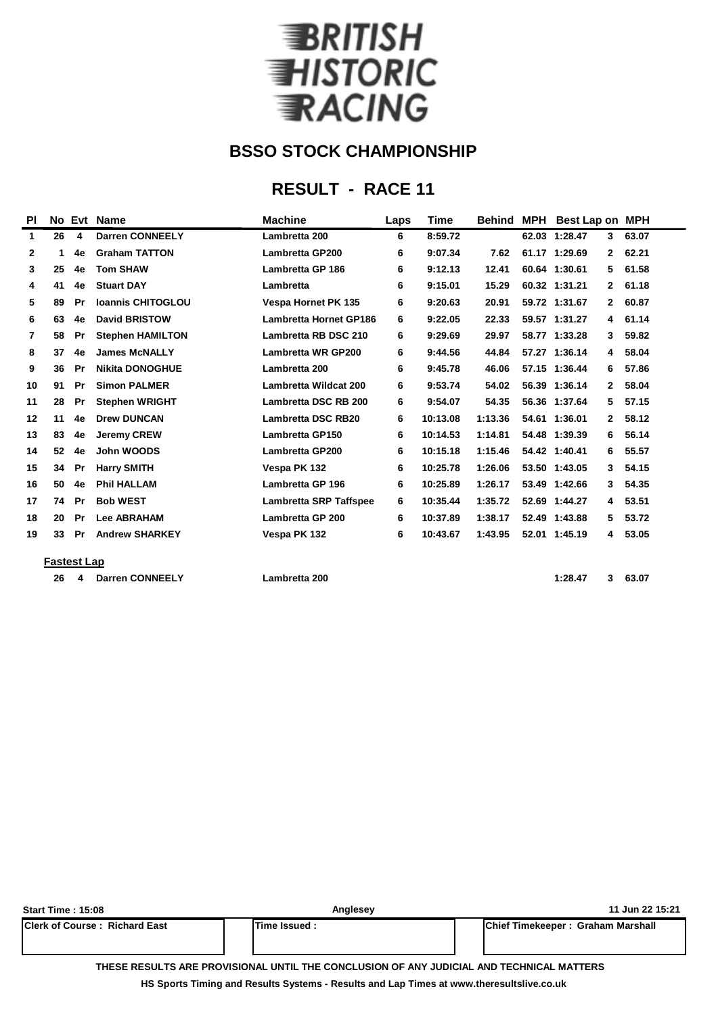

# **RESULT - RACE 11**

| ΡI             |    |           | No Evt Name              | <b>Machine</b>                | Laps | <b>Time</b> | <b>Behind</b> | <b>MPH</b> | <b>Best Lap on MPH</b> |              |       |
|----------------|----|-----------|--------------------------|-------------------------------|------|-------------|---------------|------------|------------------------|--------------|-------|
| $\mathbf{1}$   | 26 | 4         | <b>Darren CONNEELY</b>   | Lambretta 200                 | 6    | 8:59.72     |               |            | 62.03 1:28.47          | 3            | 63.07 |
| $\mathbf{2}$   | 1  | 4e        | <b>Graham TATTON</b>     | <b>Lambretta GP200</b>        | 6    | 9:07.34     | 7.62          |            | 61.17 1:29.69          | $\mathbf{2}$ | 62.21 |
| 3              | 25 | 4e        | <b>Tom SHAW</b>          | Lambretta GP 186              | 6    | 9:12.13     | 12.41         |            | 60.64 1:30.61          | 5            | 61.58 |
| 4              | 41 | 4e        | <b>Stuart DAY</b>        | Lambretta                     | 6    | 9:15.01     | 15.29         |            | 60.32 1:31.21          | $\mathbf{2}$ | 61.18 |
| 5              | 89 | Pr        | <b>Ioannis CHITOGLOU</b> | <b>Vespa Hornet PK 135</b>    | 6    | 9:20.63     | 20.91         |            | 59.72 1:31.67          | $\mathbf{2}$ | 60.87 |
| 6              | 63 | 4e        | <b>David BRISTOW</b>     | <b>Lambretta Hornet GP186</b> | 6    | 9:22.05     | 22.33         |            | 59.57 1:31.27          | 4            | 61.14 |
| $\overline{7}$ | 58 | Pr        | <b>Stephen HAMILTON</b>  | Lambretta RB DSC 210          | 6    | 9:29.69     | 29.97         |            | 58.77 1:33.28          | 3            | 59.82 |
| 8              | 37 | 4e        | <b>James McNALLY</b>     | <b>Lambretta WR GP200</b>     | 6    | 9:44.56     | 44.84         |            | 57.27 1:36.14          | 4            | 58.04 |
| 9              | 36 | Pr        | <b>Nikita DONOGHUE</b>   | Lambretta 200                 | 6    | 9:45.78     | 46.06         |            | 57.15 1:36.44          | 6            | 57.86 |
| 10             | 91 | Pr        | <b>Simon PALMER</b>      | Lambretta Wildcat 200         | 6    | 9:53.74     | 54.02         |            | 56.39 1:36.14          | $\mathbf{2}$ | 58.04 |
| 11             | 28 | <b>Pr</b> | <b>Stephen WRIGHT</b>    | Lambretta DSC RB 200          | 6    | 9:54.07     | 54.35         |            | 56.36 1:37.64          | 5            | 57.15 |
| 12             | 11 | 4e        | <b>Drew DUNCAN</b>       | <b>Lambretta DSC RB20</b>     | 6    | 10:13.08    | 1:13.36       |            | 54.61 1:36.01          | 2            | 58.12 |
| 13             | 83 | 4e        | <b>Jeremy CREW</b>       | <b>Lambretta GP150</b>        | 6    | 10:14.53    | 1:14.81       |            | 54.48 1:39.39          | 6            | 56.14 |
| 14             | 52 | 4e        | John WOODS               | <b>Lambretta GP200</b>        | 6    | 10:15.18    | 1:15.46       |            | 54.42 1:40.41          | 6            | 55.57 |
| 15             | 34 | Pr        | <b>Harry SMITH</b>       | Vespa PK 132                  | 6    | 10:25.78    | 1:26.06       |            | 53.50 1:43.05          | 3            | 54.15 |
| 16             | 50 | 4e        | <b>Phil HALLAM</b>       | Lambretta GP 196              | 6    | 10:25.89    | 1:26.17       |            | 53.49 1:42.66          | 3            | 54.35 |
| 17             | 74 | Pr        | <b>Bob WEST</b>          | <b>Lambretta SRP Taffspee</b> | 6    | 10:35.44    | 1:35.72       |            | 52.69 1:44.27          | 4            | 53.51 |
| 18             | 20 | Pr        | <b>Lee ABRAHAM</b>       | Lambretta GP 200              | 6    | 10:37.89    | 1:38.17       |            | 52.49 1:43.88          | 5.           | 53.72 |
| 19             | 33 | Pr        | <b>Andrew SHARKEY</b>    | Vespa PK 132                  | 6    | 10:43.67    | 1:43.95       |            | 52.01 1:45.19          | 4            | 53.05 |
|                |    |           |                          |                               |      |             |               |            |                        |              |       |

#### **Fastest Lap**

**26 4 Darren CONNEELY Lambretta 200 1:28.47 3 63.07**

| <b>Start Time: 15:08</b>              | Anglesey                                                                                 | 11 Jun 22 15:21                   |  |
|---------------------------------------|------------------------------------------------------------------------------------------|-----------------------------------|--|
| <b>IClerk of Course: Richard East</b> | lTime Issued :                                                                           | Chief Timekeeper: Graham Marshall |  |
|                                       | TUESE BESULTS JBE BRAUGIAUJI JURU TUE SAUSLIJGIAU AE JUV JUBISIJI. JUB TESUUSJI JIJTTEBS |                                   |  |

**THESE RESULTS ARE PROVISIONAL UNTIL THE CONCLUSION OF ANY JUDICIAL AND TECHNICAL MATTERS**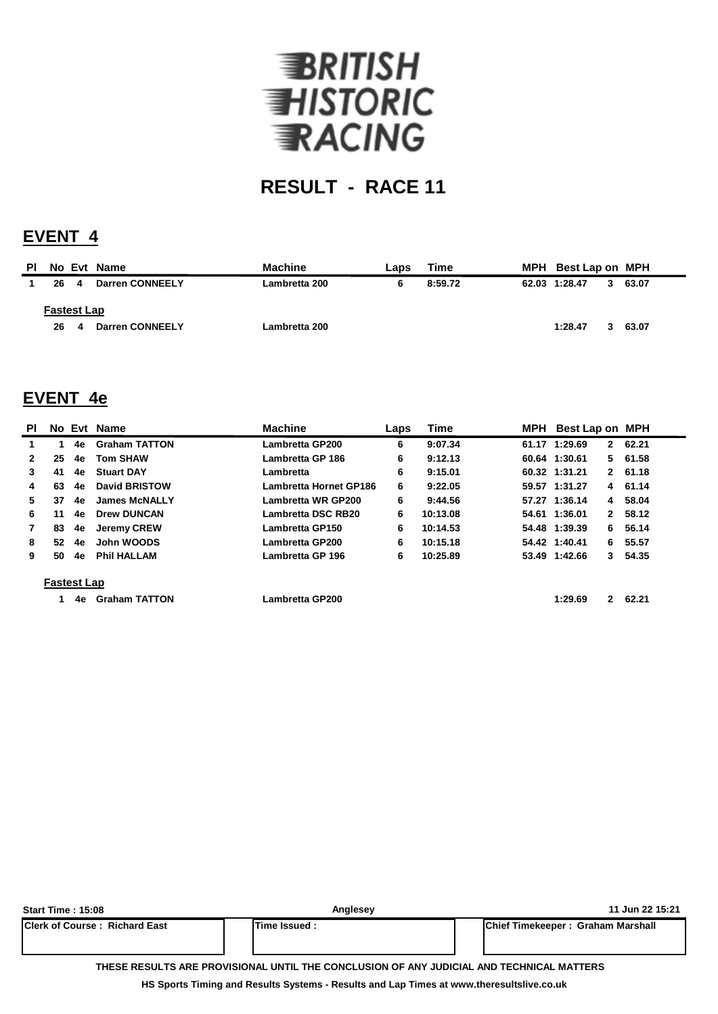

## **EVENT 4**

| <b>PI</b> |                    |   | No Evt Name            | <b>Machine</b> | Laps | Time    | MPH Best Lap on MPH |       |
|-----------|--------------------|---|------------------------|----------------|------|---------|---------------------|-------|
|           | 26                 | 4 | <b>Darren CONNEELY</b> | Lambretta 200  | 6    | 8:59.72 | 62.03 1:28.47       | 63.07 |
|           | <b>Fastest Lap</b> |   |                        |                |      |         |                     |       |
|           | 26                 | 4 | Darren CONNEELY        | Lambretta 200  |      |         | 1:28.47             | 63.07 |

### **EVENT 4e**

| <b>PI</b>          |    |    | No Evt Name          | <b>Machine</b>                | Laps | <b>Time</b> |  | MPH Best Lap on MPH           |         |  |
|--------------------|----|----|----------------------|-------------------------------|------|-------------|--|-------------------------------|---------|--|
|                    |    | 4e | <b>Graham TATTON</b> | Lambretta GP200               | 6    | 9:07.34     |  | 61.17 1:29.69<br>$\mathbf{2}$ | 62.21   |  |
| $\mathbf{2}$       | 25 | 4e | <b>Tom SHAW</b>      | Lambretta GP 186              | 6    | 9:12.13     |  | 60.64 1:30.61                 | 5 61.58 |  |
| 3                  | 41 | 4e | <b>Stuart DAY</b>    | Lambretta                     | 6    | 9:15.01     |  | 60.32 1:31.21                 | 2 61.18 |  |
| 4                  | 63 | 4e | <b>David BRISTOW</b> | <b>Lambretta Hornet GP186</b> | 6    | 9:22.05     |  | 59.57 1:31.27                 | 4 61.14 |  |
| 5.                 | 37 | 4e | <b>James McNALLY</b> | <b>Lambretta WR GP200</b>     | 6    | 9:44.56     |  | 57.27 1:36.14<br>4            | 58.04   |  |
| 6                  | 11 | 4e | <b>Drew DUNCAN</b>   | Lambretta DSC RB20            | 6    | 10:13.08    |  | 54.61 1:36.01<br>$\mathbf{2}$ | 58.12   |  |
|                    | 83 | 4e | <b>Jeremy CREW</b>   | Lambretta GP150               | 6    | 10:14.53    |  | 54.48 1:39.39<br>6.           | 56.14   |  |
| 8                  | 52 | 4e | John WOODS           | Lambretta GP200               | 6    | 10:15.18    |  | 54.42 1:40.41                 | 6 55.57 |  |
| 9                  | 50 | 4e | <b>Phil HALLAM</b>   | Lambretta GP 196              | 6    | 10:25.89    |  | 53.49 1:42.66                 | 3 54.35 |  |
| <b>Fastest Lap</b> |    |    |                      |                               |      |             |  |                               |         |  |
|                    |    | 4e | <b>Graham TATTON</b> | Lambretta GP200               |      |             |  | 1:29.69<br>2                  | 62.21   |  |

| <b>Start Time: 15:08</b>                                                                 | Anglesey      | 11 Jun 22 15:21                           |  |  |  |  |  |  |
|------------------------------------------------------------------------------------------|---------------|-------------------------------------------|--|--|--|--|--|--|
| <b>IClerk of Course: Richard East</b>                                                    | Time Issued : | <b>IChief Timekeeper: Graham Marshall</b> |  |  |  |  |  |  |
| THESE RESULTS ARE PROVISIONAL UNTIL THE CONCLUSION OF ANY JUDICIAL AND TECHNICAL MATTERS |               |                                           |  |  |  |  |  |  |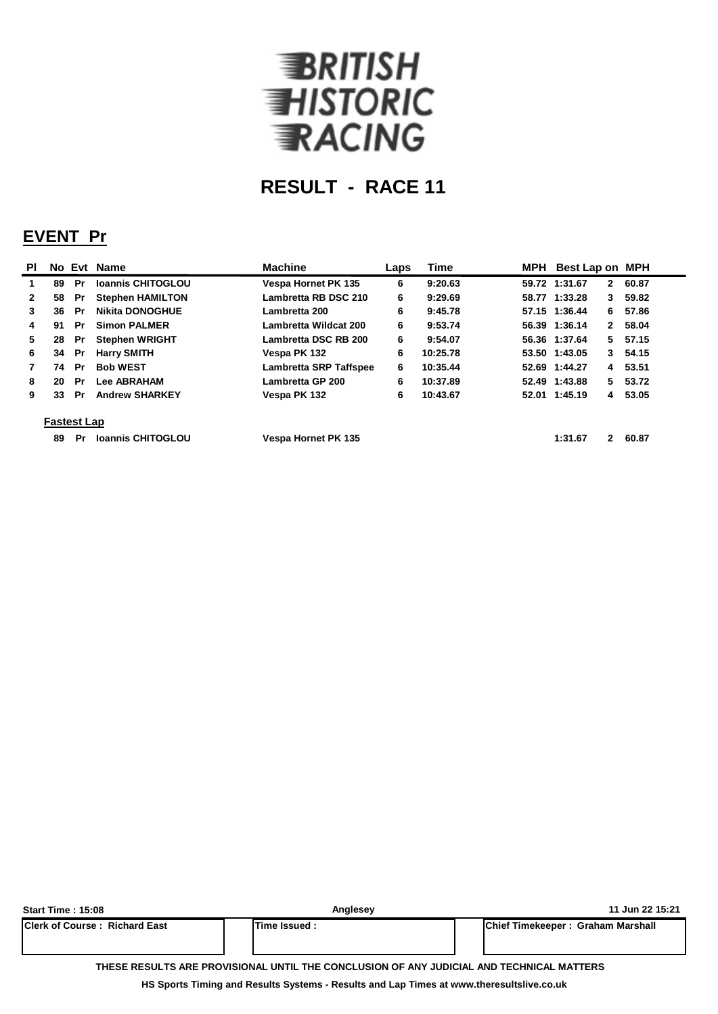

## **EVENT Pr**

| <b>PI</b>    |                    |           | No Evt Name              | <b>Machine</b>                | Laps | <b>Time</b> |  | MPH Best Lap on MPH           |          |  |  |
|--------------|--------------------|-----------|--------------------------|-------------------------------|------|-------------|--|-------------------------------|----------|--|--|
|              | 89                 | Pr        | <b>Ioannis CHITOGLOU</b> | <b>Vespa Hornet PK 135</b>    | 6    | 9:20.63     |  | 59.72 1:31.67<br>2            | 60.87    |  |  |
| $\mathbf{2}$ | 58                 | Pr        | <b>Stephen HAMILTON</b>  | Lambretta RB DSC 210          | 6    | 9:29.69     |  | 58.77 1:33.28<br>3            | 59.82    |  |  |
| 3            | 36                 | -Pr       | <b>Nikita DONOGHUE</b>   | Lambretta 200                 | 6    | 9:45.78     |  | 57.15 1:36.44<br>6.           | 57.86    |  |  |
| 4            | 91                 | Pr.       | <b>Simon PALMER</b>      | Lambretta Wildcat 200         | 6    | 9:53.74     |  | 56.39 1:36.14<br>$\mathbf{2}$ | 58.04    |  |  |
| 5.           | 28                 | <b>Pr</b> | <b>Stephen WRIGHT</b>    | Lambretta DSC RB 200          | 6    | 9:54.07     |  | 56.36 1:37.64                 | 5 57.15  |  |  |
| 6            | 34                 | Pr        | <b>Harry SMITH</b>       | Vespa PK 132                  | 6    | 10:25.78    |  | 53.50 1:43.05                 | 3, 54.15 |  |  |
|              | 74                 | Pr        | <b>Bob WEST</b>          | <b>Lambretta SRP Taffspee</b> | 6    | 10:35.44    |  | 52.69 1:44.27                 | 4 53.51  |  |  |
| 8            | 20                 | Pr        | <b>Lee ABRAHAM</b>       | <b>Lambretta GP 200</b>       | 6    | 10:37.89    |  | 52.49 1:43.88                 | 5 53.72  |  |  |
| 9            | 33                 | Pr        | <b>Andrew SHARKEY</b>    | Vespa PK 132                  | 6    | 10:43.67    |  | 52.01 1:45.19                 | 4 53.05  |  |  |
|              | <b>Fastest Lap</b> |           |                          |                               |      |             |  |                               |          |  |  |
|              | 89                 | Pr        | <b>Ioannis CHITOGLOU</b> | <b>Vespa Hornet PK 135</b>    |      |             |  | 1:31.67<br>$\mathbf{2}$       | 60.87    |  |  |

| <b>Start Time: 15:08</b>                                                                 | Anglesey     | 11 Jun 22 15:21                           |  |  |  |  |  |  |  |
|------------------------------------------------------------------------------------------|--------------|-------------------------------------------|--|--|--|--|--|--|--|
| <b>Clerk of Course: Richard East</b>                                                     | Time Issued: | <b>IChief Timekeeper: Graham Marshall</b> |  |  |  |  |  |  |  |
| THESE RESULTS ARE PROVISIONAL UNTIL THE CONCLUSION OF ANY JUDICIAL AND TECHNICAL MATTERS |              |                                           |  |  |  |  |  |  |  |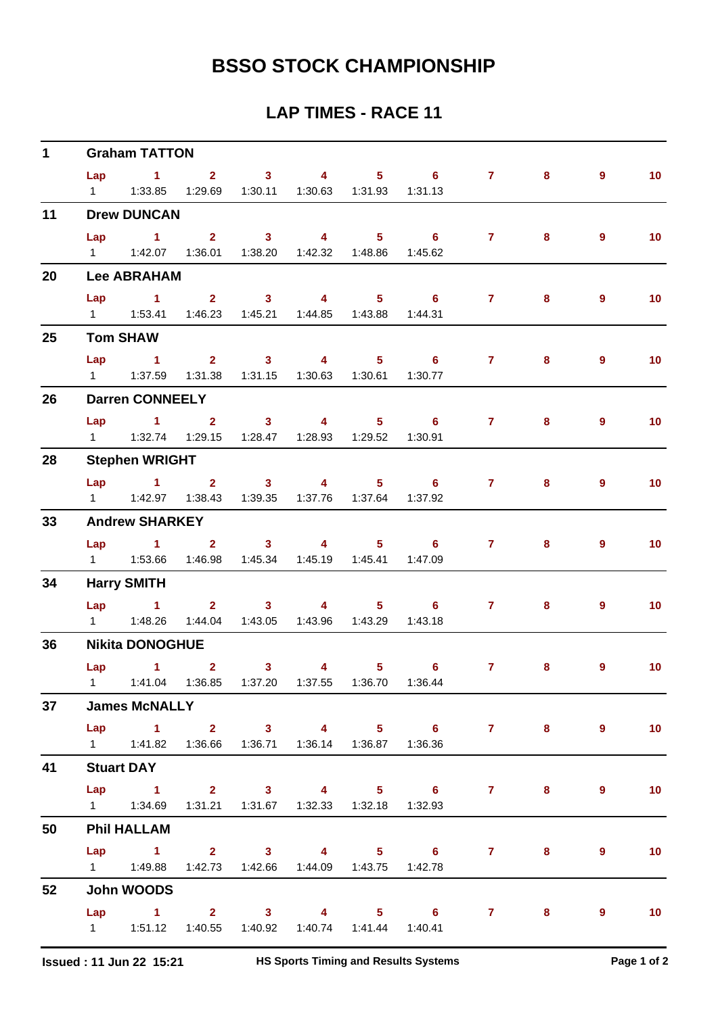| $\mathbf 1$ |     | <b>Graham TATTON</b>                                                |                |                                             |                                                     |                                                               |                                  |       |                |                          |
|-------------|-----|---------------------------------------------------------------------|----------------|---------------------------------------------|-----------------------------------------------------|---------------------------------------------------------------|----------------------------------|-------|----------------|--------------------------|
|             | Lap | $1 \t 2 \t 3$                                                       |                | $\overline{4}$                              |                                                     | $5 \t\t 6$                                                    | $\mathbf{7}$                     | 8     | $\overline{9}$ | 10 <sub>1</sub>          |
|             |     | 1   1:33.85   1:29.69   1:30.11   1:30.63   1:31.93   1:31.13       |                |                                             |                                                     |                                                               |                                  |       |                |                          |
| 11          |     | <b>Drew DUNCAN</b>                                                  |                |                                             |                                                     |                                                               |                                  |       |                |                          |
|             |     | Lap 1 2 3                                                           |                | $\sim$ 4                                    |                                                     | 5 6 7                                                         |                                  | 8     | $\overline{9}$ | 10 <sub>1</sub>          |
|             |     | 1   1:42.07   1:36.01   1:38.20   1:42.32   1:48.86                 |                |                                             |                                                     | 1:45.62                                                       |                                  |       |                |                          |
| 20          |     | <b>Lee ABRAHAM</b>                                                  |                |                                             |                                                     |                                                               |                                  |       |                |                          |
|             | Lap | $\sim$ 1                                                            |                | $2 \qquad \qquad 3 \qquad \qquad 4$         |                                                     | $5 \t\t 6$                                                    | 7 <sup>7</sup>                   | 8     | $\overline{9}$ | 10 <sub>1</sub>          |
|             |     | 1   1:53.41   1:46.23   1:45.21   1:44.85   1:43.88   1:44.31       |                |                                             |                                                     |                                                               |                                  |       |                |                          |
| 25          |     | <b>Tom SHAW</b>                                                     |                |                                             |                                                     |                                                               |                                  |       |                |                          |
|             |     | $Lap$ 1                                                             |                | 2 3 4 5 6                                   |                                                     |                                                               | 7 <sup>7</sup>                   | 8     | $\overline{9}$ | 10 <sub>1</sub>          |
|             |     |                                                                     |                | 1:31.38  1:31.15  1:30.63  1:30.61  1:30.77 |                                                     |                                                               |                                  |       |                |                          |
| 26          |     | <b>Darren CONNEELY</b>                                              |                |                                             |                                                     |                                                               |                                  |       |                |                          |
|             | Lap |                                                                     |                |                                             |                                                     | $1 \qquad 2 \qquad 3 \qquad 4 \qquad 5 \qquad 6$              | $7 \quad \overline{\phantom{1}}$ | 8     | 9              | 10 <sub>1</sub>          |
|             |     | 1   1:32.74   1:29.15   1:28.47   1:28.93   1:29.52   1:30.91       |                |                                             |                                                     |                                                               |                                  |       |                |                          |
| 28          |     | <b>Stephen WRIGHT</b>                                               |                |                                             |                                                     |                                                               |                                  |       |                |                          |
|             |     | Lap 1 2 3 4                                                         |                |                                             |                                                     | $5 \t\t 6 \t\t 7$                                             |                                  | 8     | $\overline{9}$ | 10 <sub>1</sub>          |
|             |     | 1   1:42.97   1:38.43   1:39.35   1:37.76   1:37.64                 |                |                                             |                                                     | 1:37.92                                                       |                                  |       |                |                          |
| 33          |     | <b>Andrew SHARKEY</b>                                               |                |                                             |                                                     |                                                               |                                  |       |                |                          |
|             | Lap | $1 \t2 \t3 \t4$                                                     |                |                                             |                                                     | $5 \t\t 6$                                                    | 7 <sup>7</sup>                   | 8     | 9              | 10 <sub>1</sub>          |
|             |     | 1   1:53.66   1:46.98   1:45.34   1:45.19   1:45.41   1:47.09       |                |                                             |                                                     |                                                               |                                  |       |                |                          |
| 34          |     | <b>Harry SMITH</b>                                                  |                |                                             |                                                     |                                                               |                                  |       |                |                          |
|             |     |                                                                     |                |                                             |                                                     | Lap 1 2 3 4 5 6                                               | $7 \quad \circ$                  | 8     | $\overline{9}$ | 10 <sub>1</sub>          |
|             |     |                                                                     |                | 1:44.04  1:43.05  1:43.96  1:43.29  1:43.18 |                                                     |                                                               |                                  |       |                |                          |
| 36          |     | <b>Nikita DONOGHUE</b>                                              |                |                                             |                                                     |                                                               |                                  |       |                |                          |
|             | Lap | $\overline{1}$ $\overline{2}$                                       | 3 <sup>7</sup> |                                             | $\overline{\mathbf{4}}$ and $\overline{\mathbf{4}}$ | $5 \t\t 6$                                                    | $\mathbf{7}$                     | 8     | 9              | 10                       |
|             |     |                                                                     |                |                                             |                                                     | 1   1:41.04   1:36.85   1:37.20   1:37.55   1:36.70   1:36.44 |                                  |       |                |                          |
| 37          |     | <b>James McNALLY</b>                                                |                |                                             |                                                     |                                                               |                                  |       |                |                          |
|             |     |                                                                     |                |                                             |                                                     | Lap 1 2 3 4 5 6 7 8                                           |                                  |       | $\overline{9}$ | $\overline{\mathbf{10}}$ |
|             |     | 1   1:41.82   1:36.66   1:36.71   1:36.14   1:36.87   1:36.36       |                |                                             |                                                     |                                                               |                                  |       |                |                          |
| 41          |     | <b>Stuart DAY</b>                                                   |                |                                             |                                                     |                                                               |                                  |       |                |                          |
|             |     |                                                                     |                |                                             |                                                     | Lap 1 2 3 4 5 6 7                                             |                                  | $8 -$ | 9              | 10                       |
|             |     | 1    1:34.69    1:31.21    1:31.67    1:32.33    1:32.18    1:32.93 |                |                                             |                                                     |                                                               |                                  |       |                |                          |
| 50          |     | <b>Phil HALLAM</b>                                                  |                |                                             |                                                     |                                                               |                                  |       |                |                          |
|             |     |                                                                     |                |                                             |                                                     | Lap 1 2 3 4 5 6 7                                             |                                  | $8 -$ | $\overline{9}$ | 10 <sub>1</sub>          |
|             |     | 1   1:49.88   1:42.73   1:42.66   1:44.09   1:43.75   1:42.78       |                |                                             |                                                     |                                                               |                                  |       |                |                          |
| 52          |     | John WOODS                                                          |                |                                             |                                                     |                                                               |                                  |       |                |                          |
|             |     |                                                                     |                |                                             |                                                     | Lap 1 2 3 4 5 6 7 8                                           |                                  |       | 9              | $\blacksquare$ 10        |
|             |     | 1   1:51.12   1:40.55   1:40.92   1:40.74   1:41.44   1:40.41       |                |                                             |                                                     |                                                               |                                  |       |                |                          |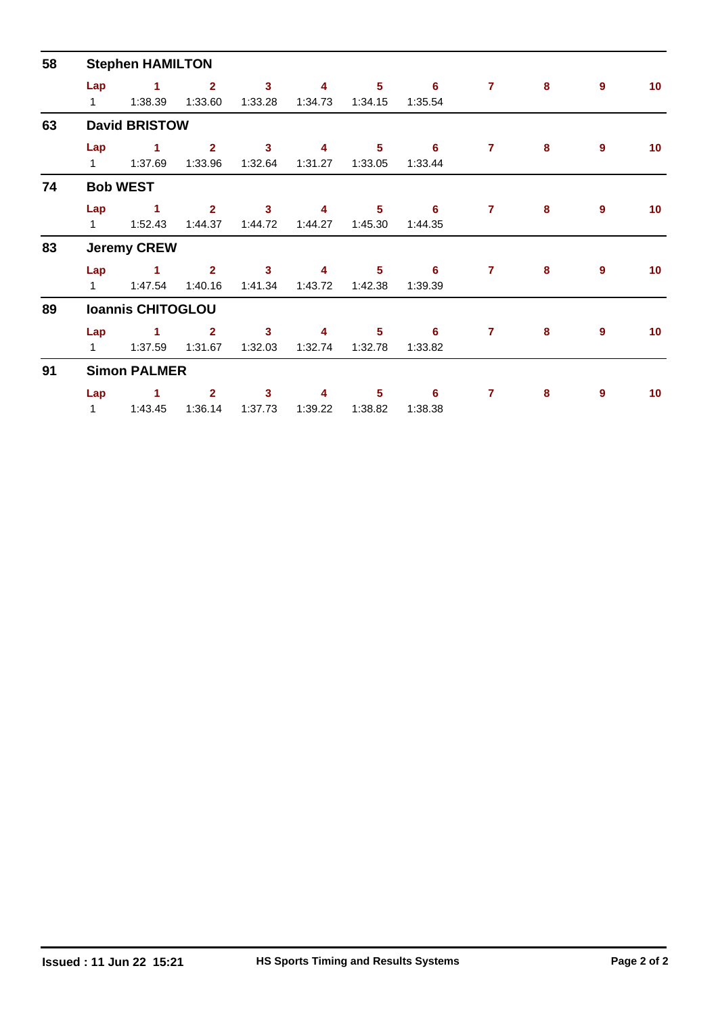| 58 |                     | <b>Stephen HAMILTON</b>         |                           |                         |              |                            |              |                |           |                  |                 |
|----|---------------------|---------------------------------|---------------------------|-------------------------|--------------|----------------------------|--------------|----------------|-----------|------------------|-----------------|
|    | Lap<br>$\mathbf{1}$ | $\blacktriangleleft$<br>1:38.39 | $\overline{2}$<br>1:33.60 | $\mathbf{3}$<br>1:33.28 | 4<br>1:34.73 | $5\phantom{.0}$<br>1:34.15 | 6<br>1:35.54 | $\overline{7}$ | 8         | $\overline{9}$   | 10 <sub>1</sub> |
| 63 |                     | <b>David BRISTOW</b>            |                           |                         |              |                            |              |                |           |                  |                 |
|    | Lap<br>$1 \quad$    | 1<br>1:37.69                    | 2 <sup>1</sup><br>1:33.96 | $\mathbf{3}$<br>1:32.64 | 4<br>1:31.27 | $5\phantom{1}$<br>1:33.05  | 6<br>1:33.44 | $\overline{7}$ | 8         | 9                | 10              |
| 74 |                     | <b>Bob WEST</b>                 |                           |                         |              |                            |              |                |           |                  |                 |
|    | Lap<br>$1 \quad$    | $\blacksquare$ 1<br>1:52.43     | $\overline{2}$<br>1:44.37 | $\mathbf{3}$<br>1:44.72 | 4<br>1:44.27 | 5 <sub>5</sub><br>1:45.30  | 6<br>1:44.35 | $\overline{7}$ | $\bf{8}$  | 9                | 10 <sub>1</sub> |
| 83 |                     | <b>Jeremy CREW</b>              |                           |                         |              |                            |              |                |           |                  |                 |
|    | Lap<br>$1 \quad$    | $\blacktriangleleft$<br>1:47.54 | 2 <sup>1</sup><br>1:40.16 | $\mathbf{3}$<br>1:41.34 | 4<br>1:43.72 | $5\phantom{a}$<br>1:42.38  | 6<br>1:39.39 | $\overline{7}$ | 8         | $\overline{9}$   | 10 <sub>1</sub> |
| 89 |                     | <b>Ioannis CHITOGLOU</b>        |                           |                         |              |                            |              |                |           |                  |                 |
|    | Lap<br>1            | 1<br>1:37.59                    | $\overline{2}$<br>1:31.67 | $\mathbf{3}$<br>1:32.03 | 4<br>1:32.74 | $5\phantom{1}$<br>1:32.78  | 6<br>1:33.82 | $\overline{7}$ | 8         | $\boldsymbol{9}$ | 10 <sub>1</sub> |
| 91 |                     | <b>Simon PALMER</b>             |                           |                         |              |                            |              |                |           |                  |                 |
|    | Lap<br>$\mathbf{1}$ | 1<br>1:43.45                    | $\overline{2}$<br>1:36.14 | $\mathbf{3}$<br>1:37.73 | 4<br>1:39.22 | 5<br>1:38.82               | 6<br>1:38.38 | 7              | ${\bf 8}$ | 9                | 10 <sub>1</sub> |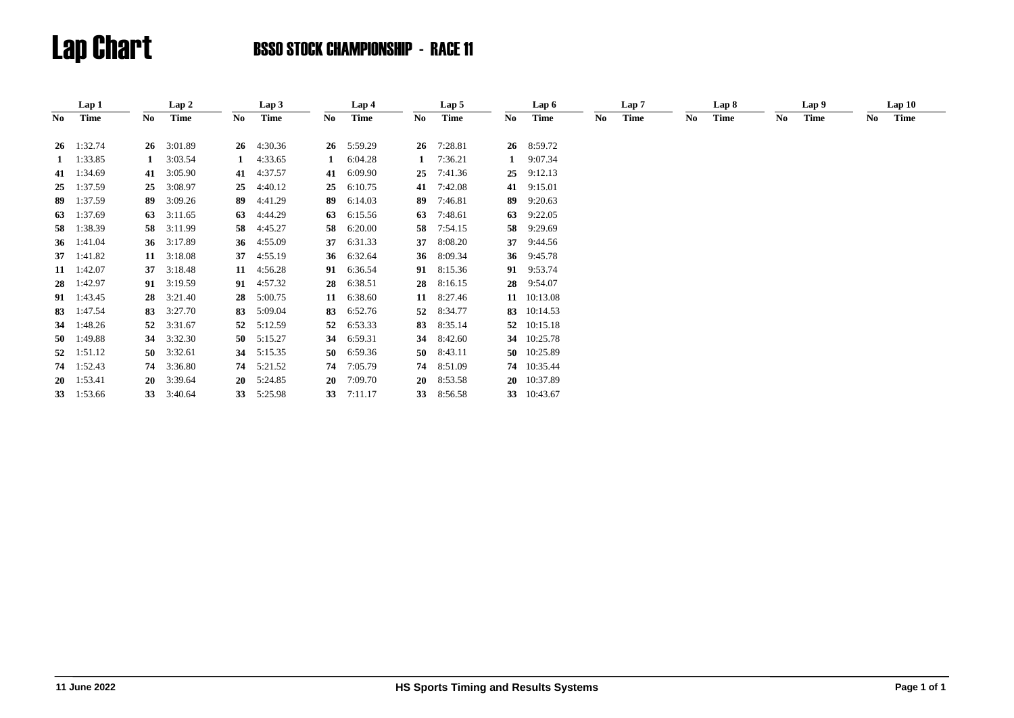|     | Lap 1         |    | Lap 2      |    | Lap 3              |    | Lap 4   |              | Lap 5       |     | Lap 6       |     | Lap 7 |    | Lap 8 |     | Lap 9 |     | Lap10 |  |
|-----|---------------|----|------------|----|--------------------|----|---------|--------------|-------------|-----|-------------|-----|-------|----|-------|-----|-------|-----|-------|--|
| No. | Time          | No | Time       | No | <b>Time</b>        | No | Time    | No           | <b>Time</b> | No. | <b>Time</b> | No. | Time  | No | Time  | No. | Time  | No. | Time  |  |
|     | 26 1:32.74    | 26 | 3:01.89    |    | $26 \quad 4:30.36$ | 26 | 5:59.29 | 26           | 7:28.81     |     | 26 8:59.72  |     |       |    |       |     |       |     |       |  |
|     |               |    |            |    |                    |    |         |              |             |     |             |     |       |    |       |     |       |     |       |  |
|     | $1 \t1:33.85$ |    | 3:03.54    |    | 4:33.65            |    | 6:04.28 | $\mathbf{1}$ | 7:36.21     | 1   | 9:07.34     |     |       |    |       |     |       |     |       |  |
|     | 41 1:34.69    | 41 | 3:05.90    | 41 | 4:37.57            | 41 | 6:09.90 | 25           | 7:41.36     | 25  | 9:12.13     |     |       |    |       |     |       |     |       |  |
| 25  | 1:37.59       | 25 | 3:08.97    | 25 | 4:40.12            | 25 | 6:10.75 | 41           | 7:42.08     | 41  | 9:15.01     |     |       |    |       |     |       |     |       |  |
| 89  | 1:37.59       | 89 | 3:09.26    | 89 | 4:41.29            | 89 | 6:14.03 | 89           | 7:46.81     | 89  | 9:20.63     |     |       |    |       |     |       |     |       |  |
| 63  | 1:37.69       | 63 | 3:11.65    | 63 | 4:44.29            | 63 | 6:15.56 | 63           | 7:48.61     | 63  | 9:22.05     |     |       |    |       |     |       |     |       |  |
| -58 | 1:38.39       | 58 | 3:11.99    | 58 | 4:45.27            | 58 | 6:20.00 | 58.          | 7:54.15     | 58  | 9:29.69     |     |       |    |       |     |       |     |       |  |
|     | 36 1:41.04    |    | 36 3:17.89 | 36 | 4:55.09            | 37 | 6:31.33 | 37           | 8:08.20     |     | 37 9:44.56  |     |       |    |       |     |       |     |       |  |
|     | 37 1:41.82    | 11 | 3:18.08    | 37 | 4:55.19            | 36 | 6:32.64 |              | 36 8:09.34  |     | 36 9:45.78  |     |       |    |       |     |       |     |       |  |
|     | 11 1:42.07    | 37 | 3:18.48    | 11 | 4:56.28            | 91 | 6:36.54 |              | 91 8:15.36  |     | 91 9:53.74  |     |       |    |       |     |       |     |       |  |
| 28  | 1:42.97       |    | 91 3:19.59 | 91 | 4:57.32            | 28 | 6:38.51 | 28           | 8:16.15     |     | 28 9:54.07  |     |       |    |       |     |       |     |       |  |
|     | 91 1:43.45    | 28 | 3:21.40    | 28 | 5:00.75            | 11 | 6:38.60 | 11           | 8:27.46     |     | 11 10:13.08 |     |       |    |       |     |       |     |       |  |
| 83  | 1:47.54       | 83 | 3:27.70    | 83 | 5:09.04            | 83 | 6:52.76 | 52           | 8:34.77     |     | 83 10:14.53 |     |       |    |       |     |       |     |       |  |
| 34  | 1:48.26       | 52 | 3:31.67    | 52 | 5:12.59            | 52 | 6:53.33 | 83           | 8:35.14     |     | 52 10:15.18 |     |       |    |       |     |       |     |       |  |
| 50  | 1:49.88       | 34 | 3:32.30    |    | 50 $5:15.27$       | 34 | 6:59.31 | 34           | 8:42.60     |     | 34 10:25.78 |     |       |    |       |     |       |     |       |  |
| 52  | 1:51.12       | 50 | 3:32.61    | 34 | 5:15.35            | 50 | 6:59.36 | 50           | 8:43.11     |     | 50 10:25.89 |     |       |    |       |     |       |     |       |  |
| 74  | 1:52.43       | 74 | 3:36.80    | 74 | 5:21.52            | 74 | 7:05.79 | 74           | 8:51.09     |     | 74 10:35.44 |     |       |    |       |     |       |     |       |  |
| 20  | 1:53.41       | 20 | 3:39.64    |    | $20 \quad 5:24.85$ | 20 | 7:09.70 |              | 20 8:53.58  |     | 20 10:37.89 |     |       |    |       |     |       |     |       |  |
|     | 33 1:53.66    | 33 | 3:40.64    | 33 | 5:25.98            | 33 | 7:11.17 | 33           | 8:56.58     |     | 33 10:43.67 |     |       |    |       |     |       |     |       |  |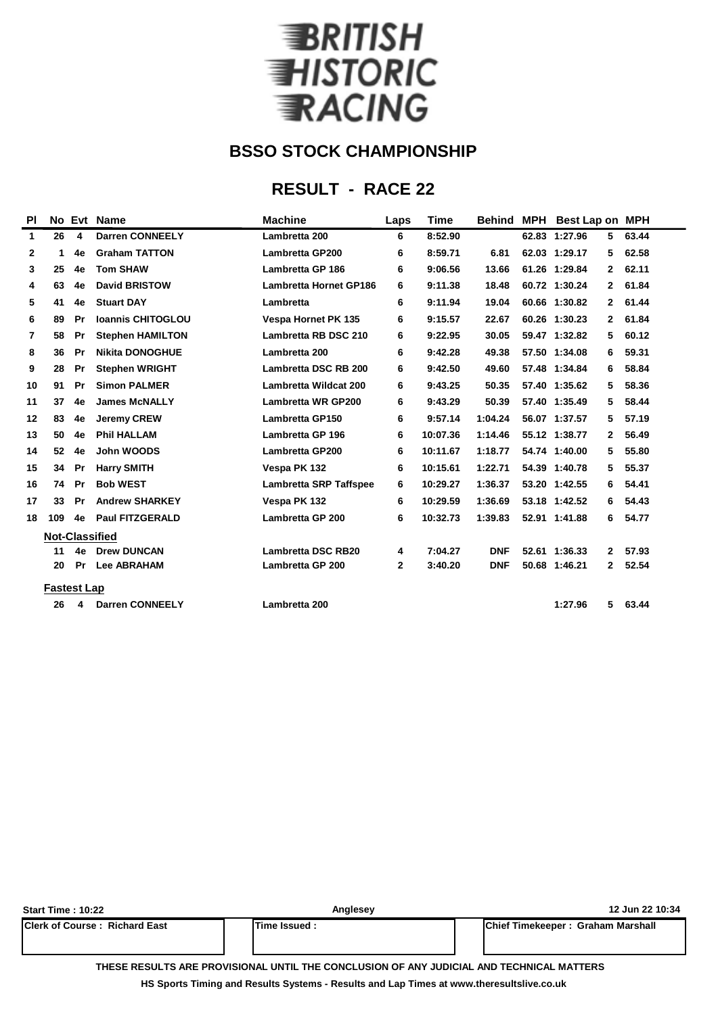

## **RESULT - RACE 22**

| PI           |                    |           | No Evt Name              | <b>Machine</b>                | Laps | <b>Time</b> | <b>Behind</b> | <b>MPH</b> | <b>Best Lap on MPH</b> |                |       |
|--------------|--------------------|-----------|--------------------------|-------------------------------|------|-------------|---------------|------------|------------------------|----------------|-------|
| $\mathbf{1}$ | 26                 | 4         | <b>Darren CONNEELY</b>   | Lambretta 200                 | 6    | 8:52.90     |               |            | 62.83 1:27.96          | 5              | 63.44 |
| $\mathbf{2}$ | 1                  | 4e        | <b>Graham TATTON</b>     | <b>Lambretta GP200</b>        | 6    | 8:59.71     | 6.81          |            | 62.03 1:29.17          | 5              | 62.58 |
| 3            | 25                 | 4e        | <b>Tom SHAW</b>          | Lambretta GP 186              | 6    | 9:06.56     | 13.66         |            | 61.26 1:29.84          | 2              | 62.11 |
| 4            | 63                 | 4e        | <b>David BRISTOW</b>     | <b>Lambretta Hornet GP186</b> | 6    | 9:11.38     | 18.48         |            | 60.72 1:30.24          | $\overline{2}$ | 61.84 |
| 5            | 41                 | 4e        | <b>Stuart DAY</b>        | Lambretta                     | 6    | 9:11.94     | 19.04         |            | 60.66 1:30.82          | 2              | 61.44 |
| 6            | 89                 | Pr        | <b>Ioannis CHITOGLOU</b> | <b>Vespa Hornet PK 135</b>    | 6    | 9:15.57     | 22.67         |            | 60.26 1:30.23          | 2              | 61.84 |
| 7            | 58                 | Pr        | <b>Stephen HAMILTON</b>  | Lambretta RB DSC 210          | 6    | 9:22.95     | 30.05         |            | 59.47 1:32.82          | 5              | 60.12 |
| 8            | 36                 | Pr        | <b>Nikita DONOGHUE</b>   | Lambretta 200                 | 6    | 9:42.28     | 49.38         |            | 57.50 1:34.08          | 6              | 59.31 |
| 9            | 28                 | Pr        | <b>Stephen WRIGHT</b>    | Lambretta DSC RB 200          | 6    | 9:42.50     | 49.60         |            | 57.48 1:34.84          | 6              | 58.84 |
| 10           | 91                 | Pr        | <b>Simon PALMER</b>      | <b>Lambretta Wildcat 200</b>  | 6    | 9:43.25     | 50.35         |            | 57.40 1:35.62          | 5              | 58.36 |
| 11           | 37                 | 4e        | <b>James McNALLY</b>     | <b>Lambretta WR GP200</b>     | 6    | 9:43.29     | 50.39         |            | 57.40 1:35.49          | 5              | 58.44 |
| 12           | 83                 | 4e        | <b>Jeremy CREW</b>       | <b>Lambretta GP150</b>        | 6    | 9:57.14     | 1:04.24       |            | 56.07 1:37.57          | 5              | 57.19 |
| 13           | 50                 | 4e        | <b>Phil HALLAM</b>       | <b>Lambretta GP 196</b>       | 6    | 10:07.36    | 1:14.46       |            | 55.12 1:38.77          | 2              | 56.49 |
| 14           | 52                 | 4e        | John WOODS               | <b>Lambretta GP200</b>        | 6    | 10:11.67    | 1:18.77       |            | 54.74 1:40.00          | 5              | 55.80 |
| 15           | 34                 | Pr        | <b>Harry SMITH</b>       | Vespa PK 132                  | 6    | 10:15.61    | 1:22.71       |            | 54.39 1:40.78          | 5              | 55.37 |
| 16           | 74                 | Pr        | <b>Bob WEST</b>          | <b>Lambretta SRP Taffspee</b> | 6    | 10:29.27    | 1:36.37       |            | 53.20 1:42.55          | 6              | 54.41 |
| 17           | 33                 | <b>Pr</b> | <b>Andrew SHARKEY</b>    | Vespa PK 132                  | 6    | 10:29.59    | 1:36.69       |            | 53.18 1:42.52          | 6              | 54.43 |
| 18           | 109                | 4e        | <b>Paul FITZGERALD</b>   | <b>Lambretta GP 200</b>       | 6    | 10:32.73    | 1:39.83       |            | 52.91 1:41.88          | 6              | 54.77 |
|              |                    |           | <b>Not-Classified</b>    |                               |      |             |               |            |                        |                |       |
|              | 11                 | 4e        | <b>Drew DUNCAN</b>       | <b>Lambretta DSC RB20</b>     | 4    | 7:04.27     | <b>DNF</b>    |            | 52.61 1:36.33          | $\overline{2}$ | 57.93 |
|              | 20                 | <b>Pr</b> | <b>Lee ABRAHAM</b>       | <b>Lambretta GP 200</b>       | 2    | 3:40.20     | <b>DNF</b>    |            | 50.68 1:46.21          | $\mathbf{2}$   | 52.54 |
|              | <b>Fastest Lap</b> |           |                          |                               |      |             |               |            |                        |                |       |
|              | 26                 | 4         | <b>Darren CONNEELY</b>   | Lambretta 200                 |      |             |               |            | 1:27.96                | 5              | 63.44 |
|              |                    |           |                          |                               |      |             |               |            |                        |                |       |

| <b>Start Time: 10:22</b>        | Anglesey             | 12 Jun 22 10:34                   |
|---------------------------------|----------------------|-----------------------------------|
| lClerk of Course : Richard East | <b>ITime Issued:</b> | Chief Timekeeper: Graham Marshall |
|                                 |                      |                                   |

**THESE RESULTS ARE PROVISIONAL UNTIL THE CONCLUSION OF ANY JUDICIAL AND TECHNICAL MATTERS**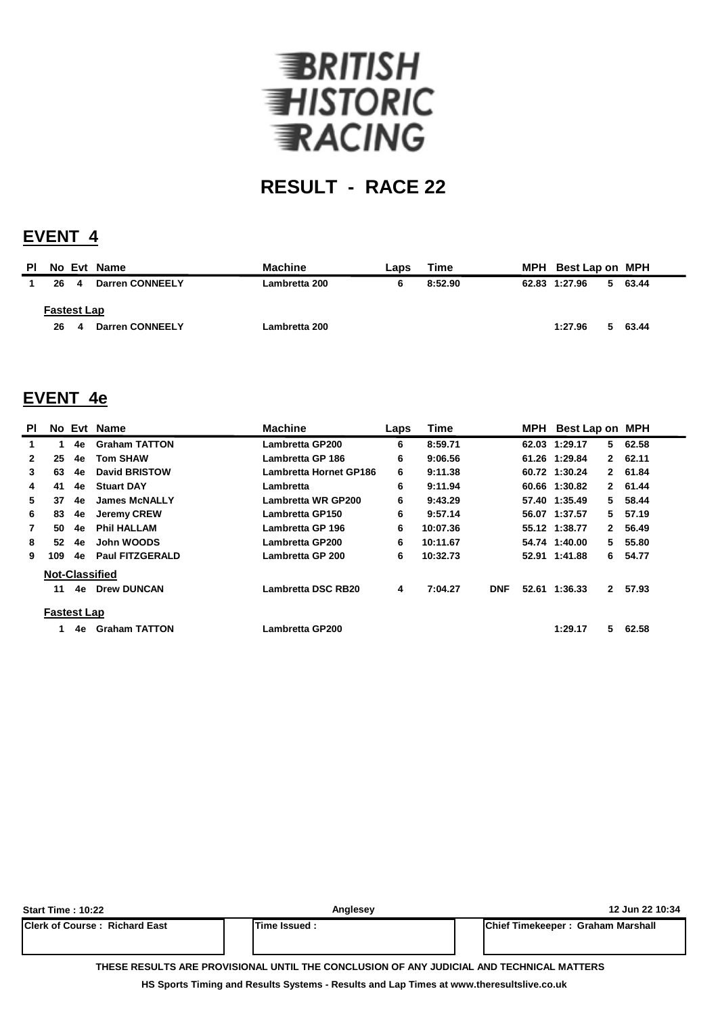

## **EVENT 4**

| 62.83 1:27.96<br>63.44<br>5. |
|------------------------------|
|                              |
| 1:27.96<br>63.44<br>5.       |
|                              |

### **EVENT 4e**

| PI           |                       |    | No Evt Name            | <b>Machine</b>         | Laps | <b>Time</b> |            | MPH Best Lap on MPH |              |         |
|--------------|-----------------------|----|------------------------|------------------------|------|-------------|------------|---------------------|--------------|---------|
| 1            | 1                     | 4e | <b>Graham TATTON</b>   | Lambretta GP200        | 6    | 8:59.71     |            | 62.03 1:29.17       | 5            | 62.58   |
| $\mathbf{2}$ | 25                    | 4e | <b>Tom SHAW</b>        | Lambretta GP 186       | 6    | 9:06.56     |            | 61.26 1:29.84       |              | 2 62.11 |
| 3            | 63                    | 4e | <b>David BRISTOW</b>   | Lambretta Hornet GP186 | 6    | 9:11.38     |            | 60.72 1:30.24       |              | 2 61.84 |
| 4            | 41                    | 4e | <b>Stuart DAY</b>      | Lambretta              | 6    | 9:11.94     |            | 60.66 1:30.82       | 2            | 61.44   |
| 5.           | 37                    | 4e | <b>James McNALLY</b>   | Lambretta WR GP200     | 6    | 9:43.29     |            | 57.40 1:35.49       | 5.           | 58.44   |
| 6            | 83                    | 4e | <b>Jeremy CREW</b>     | Lambretta GP150        | 6    | 9:57.14     |            | 56.07 1:37.57       | 5.           | 57.19   |
| 7            | 50                    | 4e | <b>Phil HALLAM</b>     | Lambretta GP 196       | 6    | 10:07.36    |            | 55.12 1:38.77       | $\mathbf{2}$ | 56.49   |
| 8            | 52                    | 4e | John WOODS             | Lambretta GP200        | 6    | 10:11.67    |            | 54.74 1:40.00       | 5.           | 55.80   |
| 9            | 109                   | 4e | <b>Paul FITZGERALD</b> | Lambretta GP 200       | 6    | 10:32.73    |            | 52.91 1:41.88       | 6            | 54.77   |
|              | <b>Not-Classified</b> |    |                        |                        |      |             |            |                     |              |         |
|              | 11                    | 4e | <b>Drew DUNCAN</b>     | Lambretta DSC RB20     | 4    | 7:04.27     | <b>DNF</b> | 52.61 1:36.33       | $\mathbf{2}$ | 57.93   |
|              | <b>Fastest Lap</b>    |    |                        |                        |      |             |            |                     |              |         |
|              |                       | 4e | <b>Graham TATTON</b>   | Lambretta GP200        |      |             |            | 1:29.17             | 5            | 62.58   |

| <b>Start Time: 10:22</b>             | Anglesey                                                                                 | 12 Jun 22 10:34                           |
|--------------------------------------|------------------------------------------------------------------------------------------|-------------------------------------------|
| <b>Clerk of Course: Richard East</b> | <b>ITime Issued:</b>                                                                     | <b>IChief Timekeeper: Graham Marshall</b> |
|                                      | THESE RESULTS ARE PROVISIONAL UNTIL THE CONCLUSION OF ANY JUDICIAL AND TECHNICAL MATTERS |                                           |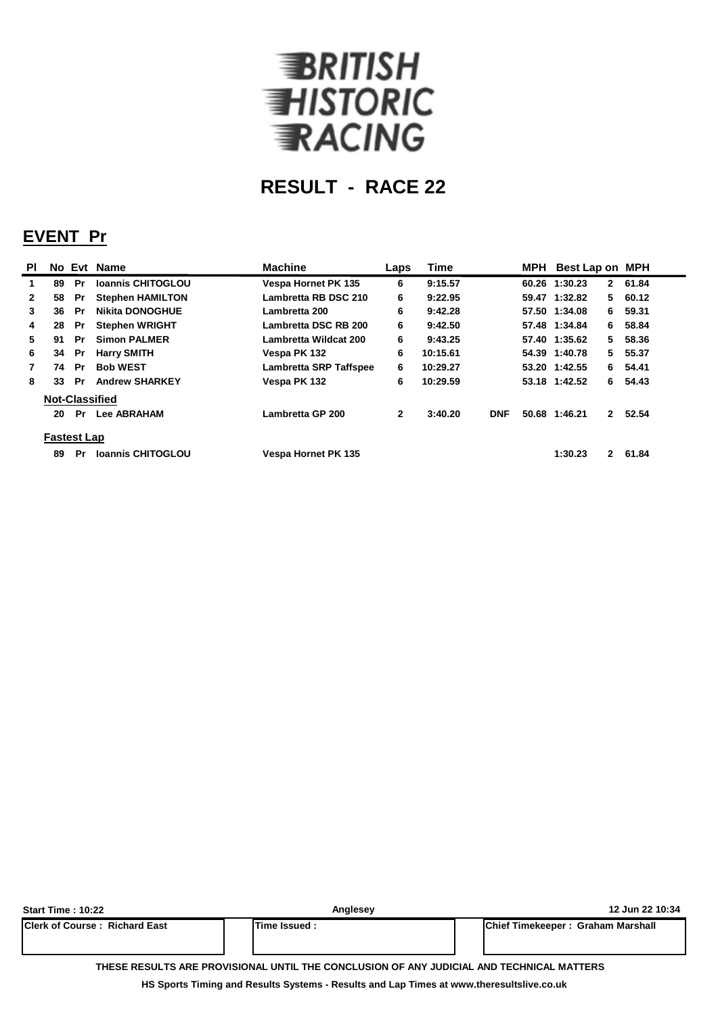

## **EVENT Pr**

| <b>PI</b>    |                       |           | No Evt Name              | <b>Machine</b>                | Laps         | <b>Time</b> |            | MPH | Best Lap on MPH |              |         |
|--------------|-----------------------|-----------|--------------------------|-------------------------------|--------------|-------------|------------|-----|-----------------|--------------|---------|
| 1.           | 89                    | <b>Pr</b> | <b>Ioannis CHITOGLOU</b> | <b>Vespa Hornet PK 135</b>    | 6            | 9:15.57     |            |     | 60.26 1:30.23   |              | 2 61.84 |
| $\mathbf{2}$ | 58                    | Pr        | <b>Stephen HAMILTON</b>  | Lambretta RB DSC 210          | 6            | 9:22.95     |            |     | 59.47 1:32.82   |              | 5 60.12 |
| 3            | 36                    | Pr        | <b>Nikita DONOGHUE</b>   | Lambretta 200                 | 6            | 9:42.28     |            |     | 57.50 1:34.08   | 6.           | 59.31   |
| 4            | 28                    | Pr        | <b>Stephen WRIGHT</b>    | Lambretta DSC RB 200          | 6            | 9:42.50     |            |     | 57.48 1:34.84   | 6.           | 58.84   |
| 5.           | 91                    | Pr        | <b>Simon PALMER</b>      | Lambretta Wildcat 200         | 6            | 9:43.25     |            |     | 57.40 1:35.62   | 5.           | 58.36   |
| 6            | 34                    | Pr        | <b>Harry SMITH</b>       | Vespa PK 132                  | 6            | 10:15.61    |            |     | 54.39 1:40.78   |              | 5 55.37 |
|              | 74                    | Pr.       | <b>Bob WEST</b>          | <b>Lambretta SRP Taffspee</b> | 6            | 10:29.27    |            |     | 53.20 1:42.55   |              | 6 54.41 |
| 8            | 33                    | Pr        | <b>Andrew SHARKEY</b>    | Vespa PK 132                  | 6            | 10:29.59    |            |     | 53.18 1:42.52   | 6.           | 54.43   |
|              | <b>Not-Classified</b> |           |                          |                               |              |             |            |     |                 |              |         |
|              | 20                    | Pr        | <b>Lee ABRAHAM</b>       | Lambretta GP 200              | $\mathbf{2}$ | 3:40.20     | <b>DNF</b> |     | 50.68 1:46.21   | $\mathbf{2}$ | 52.54   |
|              | <b>Fastest Lap</b>    |           |                          |                               |              |             |            |     |                 |              |         |
|              | 89                    | Pr.       | <b>Ioannis CHITOGLOU</b> | <b>Vespa Hornet PK 135</b>    |              |             |            |     | 1:30.23         |              | 2 61.84 |

| <b>Start Time: 10:22</b>               | Anglesey             | 12 Jun 22 10:34                                                                          |
|----------------------------------------|----------------------|------------------------------------------------------------------------------------------|
| <b>IClerk of Course : Richard East</b> | <b>ITime Issued:</b> | Chief Timekeeper: Graham Marshall                                                        |
|                                        |                      | THESE RESULTS ARE PROVISIONAL UNTIL THE CONCLUSION OF ANY JUDICIAL AND TECHNICAL MATTERS |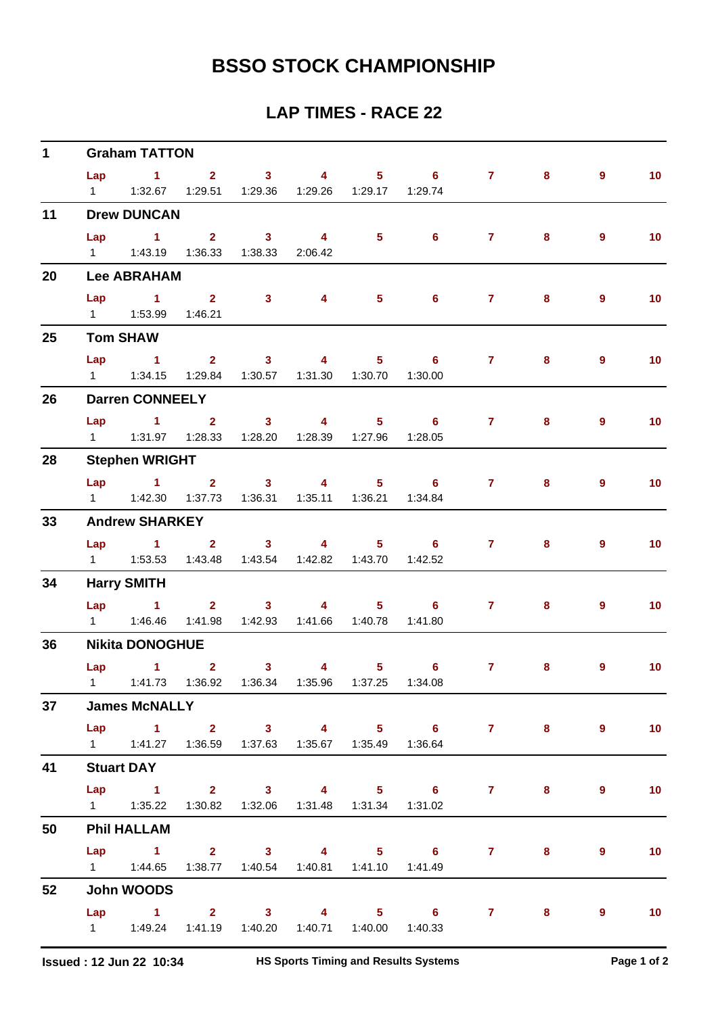| $\mathbf 1$ |     | <b>Graham TATTON</b>                                          |                                             |                         |                                                               |                     |       |                |                          |
|-------------|-----|---------------------------------------------------------------|---------------------------------------------|-------------------------|---------------------------------------------------------------|---------------------|-------|----------------|--------------------------|
|             |     | Lap 1 2 3 4                                                   |                                             |                         |                                                               | $5 \t 6 \t 7$       | 8     | $\overline{9}$ | 10 <sup>°</sup>          |
|             |     | 1   1:32.67   1:29.51   1:29.36   1:29.26   1:29.17   1:29.74 |                                             |                         |                                                               |                     |       |                |                          |
| 11          |     | <b>Drew DUNCAN</b>                                            |                                             |                         |                                                               |                     |       |                |                          |
|             | Lap |                                                               |                                             |                         |                                                               | 1 2 3 4 5 6 7       | 8     | $\overline{9}$ | 10 <sub>1</sub>          |
|             |     | 1   1:43.19   1:36.33   1:38.33   2:06.42                     |                                             |                         |                                                               |                     |       |                |                          |
| 20          |     | <b>Lee ABRAHAM</b>                                            |                                             |                         |                                                               |                     |       |                |                          |
|             | Lap | $\sim$ 1 2                                                    | 3 <sup>7</sup>                              | 4                       | $5 \t\t 6$                                                    | 7 <sup>7</sup>      | 8     | $\overline{9}$ | 10 <sup>°</sup>          |
|             |     | 1   1:53.99   1:46.21                                         |                                             |                         |                                                               |                     |       |                |                          |
| 25          |     | <b>Tom SHAW</b>                                               |                                             |                         |                                                               |                     |       |                |                          |
|             |     |                                                               |                                             |                         | Lap 1 2 3 4 5 6                                               | $7^{\circ}$         | 8     | $\overline{9}$ | 10                       |
|             |     | 1   1:34.15   1:29.84   1:30.57   1:31.30   1:30.70   1:30.00 |                                             |                         |                                                               |                     |       |                |                          |
| 26          |     | <b>Darren CONNEELY</b>                                        |                                             |                         |                                                               |                     |       |                |                          |
|             |     |                                                               |                                             |                         | Lap 1 2 3 4 5 6                                               | 7 <sup>7</sup>      | 8     | $\overline{9}$ | 10 <sub>1</sub>          |
|             |     | 1   1:31.97   1:28.33   1:28.20   1:28.39   1:27.96   1:28.05 |                                             |                         |                                                               |                     |       |                |                          |
| 28          |     | <b>Stephen WRIGHT</b>                                         |                                             |                         |                                                               |                     |       |                |                          |
|             |     |                                                               |                                             |                         |                                                               | Lap 1 2 3 4 5 6 7   | 8     | $\overline{9}$ | 10 <sub>1</sub>          |
|             |     | 1   1:42.30   1:37.73   1:36.31   1:35.11   1:36.21   1:34.84 |                                             |                         |                                                               |                     |       |                |                          |
| 33          |     | <b>Andrew SHARKEY</b>                                         |                                             |                         |                                                               |                     |       |                |                          |
|             |     |                                                               |                                             |                         | Lap 1 2 3 4 5 6                                               | 7 <sup>7</sup>      | 8     | $\overline{9}$ | 10 <sub>1</sub>          |
|             |     | 1   1:53.53   1:43.48   1:43.54   1:42.82   1:43.70   1:42.52 |                                             |                         |                                                               |                     |       |                |                          |
| 34          |     | <b>Harry SMITH</b>                                            |                                             |                         |                                                               |                     |       |                |                          |
|             |     |                                                               |                                             |                         | Lap 1 2 3 4 5 6                                               | $7 \quad \circ$     | 8     | $\overline{9}$ | 10                       |
|             |     |                                                               | 1:41.98  1:42.93  1:41.66  1:40.78  1:41.80 |                         |                                                               |                     |       |                |                          |
| 36          |     | <b>Nikita DONOGHUE</b>                                        |                                             |                         |                                                               |                     |       |                |                          |
|             |     | Lap $1$ 2                                                     | 3 <sup>7</sup>                              | $\overline{\mathbf{4}}$ | $5 \t\t 6$                                                    | $7 \pm 1$           | 8     | 9              | 10 <sub>1</sub>          |
|             |     |                                                               |                                             |                         | 1   1:41.73   1:36.92   1:36.34   1:35.96   1:37.25   1:34.08 |                     |       |                |                          |
| 37          |     | <b>James McNALLY</b>                                          |                                             |                         |                                                               |                     |       |                |                          |
|             |     |                                                               |                                             |                         |                                                               | Lap 1 2 3 4 5 6 7 8 |       | $\overline{9}$ | $\overline{10}$          |
|             |     | 1   1:41.27   1:36.59   1:37.63   1:35.67   1:35.49   1:36.64 |                                             |                         |                                                               |                     |       |                |                          |
| 41          |     | <b>Stuart DAY</b>                                             |                                             |                         |                                                               |                     |       |                |                          |
|             |     |                                                               |                                             |                         |                                                               | Lap 1 2 3 4 5 6 7   | $8 -$ | 9              | 10                       |
|             |     | 1   1:35.22   1:30.82   1:32.06   1:31.48   1:31.34   1:31.02 |                                             |                         |                                                               |                     |       |                |                          |
| 50          |     | <b>Phil HALLAM</b>                                            |                                             |                         |                                                               |                     |       |                |                          |
|             |     |                                                               |                                             |                         |                                                               | Lap 1 2 3 4 5 6 7 8 |       | 9              | 10                       |
|             |     | 1   1:44.65   1:38.77   1:40.54   1:40.81   1:41.10   1:41.49 |                                             |                         |                                                               |                     |       |                |                          |
| 52          |     | John WOODS                                                    |                                             |                         |                                                               |                     |       |                |                          |
|             |     |                                                               |                                             |                         |                                                               | Lap 1 2 3 4 5 6 7 8 |       | 9              | $\overline{\mathbf{10}}$ |
|             |     | 1   1:49.24   1:41.19   1:40.20   1:40.71   1:40.00   1:40.33 |                                             |                         |                                                               |                     |       |                |                          |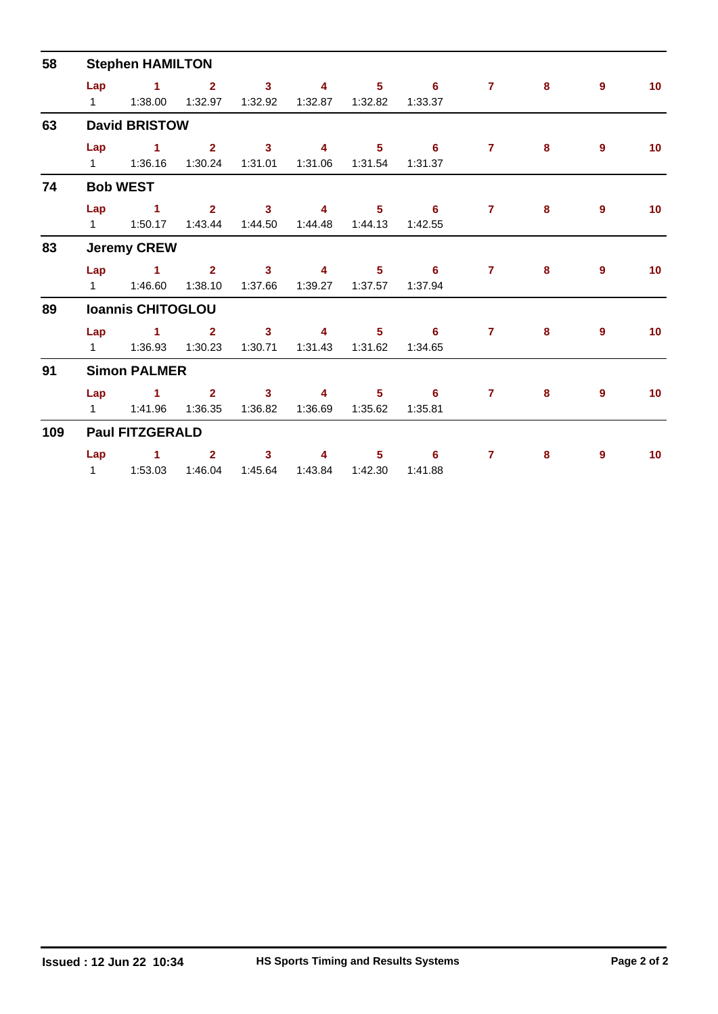| 58  | <b>Stephen HAMILTON</b> |                          |                           |                                    |                           |                           |                                       |                |   |                |                 |  |  |
|-----|-------------------------|--------------------------|---------------------------|------------------------------------|---------------------------|---------------------------|---------------------------------------|----------------|---|----------------|-----------------|--|--|
|     | Lap<br>$1 \quad \Box$   | $\sim$ 1<br>1:38.00      | $\overline{2}$<br>1:32.97 | $\overline{\mathbf{3}}$<br>1:32.92 | $\overline{4}$<br>1:32.87 | $5 -$<br>1:32.82          | $6^{\circ}$<br>1:33.37                | $\mathbf{7}$   | 8 | 9              | 10 <sup>°</sup> |  |  |
| 63  |                         | <b>David BRISTOW</b>     |                           |                                    |                           |                           |                                       |                |   |                |                 |  |  |
|     | Lap                     | $\sim$ 1                 | $\overline{2}$<br>1:30.24 | $\mathbf{3}$<br>1:31.01            | $\overline{4}$            | $5 -$<br>1:31.06  1:31.54 | $\overline{\phantom{0}}$ 6<br>1:31.37 | $\mathbf{7}$   | 8 | $\overline{9}$ | 10 <sup>°</sup> |  |  |
| 74  |                         | <b>Bob WEST</b>          |                           |                                    |                           |                           |                                       |                |   |                |                 |  |  |
|     | Lap<br>$1 \quad \Box$   | $\sim$ 1<br>1:50.17      | 2 <sup>7</sup><br>1:43.44 | $\overline{\mathbf{3}}$<br>1:44.50 | 4<br>1:44.48              | 5 <sup>1</sup><br>1:44.13 | 6<br>1:42.55                          | $\overline{7}$ | 8 | 9              | 10 <sup>°</sup> |  |  |
| 83  |                         | <b>Jeremy CREW</b>       |                           |                                    |                           |                           |                                       |                |   |                |                 |  |  |
|     | Lap                     | $\mathbf{1}$             | 2 <sup>7</sup><br>1:38.10 | $\mathbf{3}$<br>1:37.66            | $\overline{4}$            | $5 -$                     | 6<br>1:37.94                          | $\mathbf{7}$   | 8 | $\overline{9}$ | 10 <sub>1</sub> |  |  |
| 89  |                         | <b>Ioannis CHITOGLOU</b> |                           |                                    |                           |                           |                                       |                |   |                |                 |  |  |
|     | Lap<br>$1 \quad \Box$   | $\mathbf{1}$<br>1:36.93  | $\overline{2}$<br>1:30.23 | $\mathbf{3}$<br>1:30.71            | 4<br>1:31.43              | 5.<br>1:31.62             | -6<br>1:34.65                         | $\overline{7}$ | 8 | 9              | 10 <sup>°</sup> |  |  |
| 91  |                         | <b>Simon PALMER</b>      |                           |                                    |                           |                           |                                       |                |   |                |                 |  |  |
|     | Lap                     | $\sim$ 1                 | $\overline{2}$<br>1:36.35 | $\mathbf{3}$<br>1:36.82            | 4<br>1:36.69              | $5 -$<br>1:35.62          | 6<br>1:35.81                          | $\overline{7}$ | 8 | 9              | 10              |  |  |
| 109 |                         | <b>Paul FITZGERALD</b>   |                           |                                    |                           |                           |                                       |                |   |                |                 |  |  |
|     | Lap                     | $\blacktriangleleft$     | $\mathbf{2}$<br>1:46.04   | $\mathbf{3}$<br>1:45.64            | 4<br>1:43.84              | 5 <sup>1</sup><br>1:42.30 | 6<br>1:41.88                          | $\overline{7}$ | 8 | 9              | 10 <sup>°</sup> |  |  |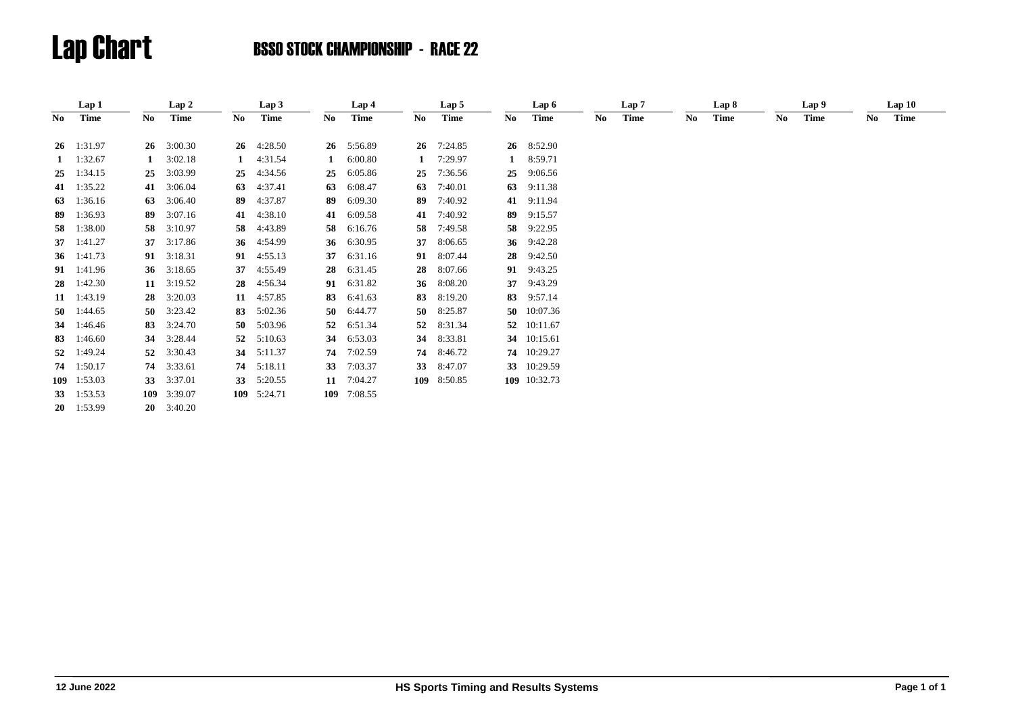|     | Lap 1              |              | Lap 2        |    | Lap 3       |    | Lap 4       |              | Lap 5       |    | Lap 6        |    | Lap 7 |    | Lap 8 |     | Lap 9       |     | Lap10 |  |
|-----|--------------------|--------------|--------------|----|-------------|----|-------------|--------------|-------------|----|--------------|----|-------|----|-------|-----|-------------|-----|-------|--|
| No. | <b>Time</b>        | No           | Time         | No | <b>Time</b> | No | <b>Time</b> | No.          | <b>Time</b> | No | Time         | No | Time  | No | Time  | No. | <b>Time</b> | No. | Time  |  |
|     | $26 \quad 1:31.97$ | 26           | 3:00.30      | 26 | 4:28.50     | 26 | 5:56.89     | 26           | 7:24.85     |    | 26 8:52.90   |    |       |    |       |     |             |     |       |  |
|     |                    |              |              |    |             |    |             |              |             |    |              |    |       |    |       |     |             |     |       |  |
|     | $1 \t1:32.67$      | $\mathbf{1}$ | 3:02.18      |    | 4:31.54     | 1  | 6:00.80     | $\mathbf{1}$ | 7:29.97     |    | 8:59.71      |    |       |    |       |     |             |     |       |  |
| 25  | 1:34.15            | 25           | 3:03.99      | 25 | 4:34.56     | 25 | 6:05.86     | 25           | 7:36.56     | 25 | 9:06.56      |    |       |    |       |     |             |     |       |  |
| 41  | 1:35.22            | 41           | 3:06.04      | 63 | 4:37.41     | 63 | 6:08.47     | 63           | 7:40.01     | 63 | 9:11.38      |    |       |    |       |     |             |     |       |  |
| 63  | 1:36.16            | 63           | 3:06.40      | 89 | 4:37.87     | 89 | 6:09.30     | 89           | 7:40.92     | 41 | 9:11.94      |    |       |    |       |     |             |     |       |  |
| 89  | 1:36.93            | 89           | 3:07.16      | 41 | 4:38.10     | 41 | 6:09.58     | 41           | 7:40.92     | 89 | 9:15.57      |    |       |    |       |     |             |     |       |  |
| 58  | 1:38.00            | 58           | 3:10.97      | 58 | 4:43.89     | 58 | 6:16.76     | 58           | 7:49.58     | 58 | 9:22.95      |    |       |    |       |     |             |     |       |  |
|     | 37 $1:41.27$       | 37           | 3:17.86      | 36 | 4:54.99     | 36 | 6:30.95     | 37           | 8:06.65     |    | 36 9:42.28   |    |       |    |       |     |             |     |       |  |
|     | 36 1:41.73         |              | 91 3:18.31   | 91 | 4:55.13     | 37 | 6:31.16     | 91           | 8:07.44     | 28 | 9:42.50      |    |       |    |       |     |             |     |       |  |
|     | 91 1:41.96         |              | 36 3:18.65   | 37 | 4:55.49     | 28 | 6:31.45     | 28           | 8:07.66     |    | 91 9:43.25   |    |       |    |       |     |             |     |       |  |
|     | $28 \quad 1:42.30$ |              | 11 $3:19.52$ | 28 | 4:56.34     | 91 | 6:31.82     | 36           | 8:08.20     | 37 | 9:43.29      |    |       |    |       |     |             |     |       |  |
|     | 11 1:43.19         | 28           | 3:20.03      | 11 | 4:57.85     | 83 | 6:41.63     | 83           | 8:19.20     | 83 | 9:57.14      |    |       |    |       |     |             |     |       |  |
|     | 50 $1:44.65$       | 50           | 3:23.42      | 83 | 5:02.36     | 50 | 6:44.77     | 50           | 8:25.87     |    | 50 10:07.36  |    |       |    |       |     |             |     |       |  |
|     | 34 1:46.46         |              | 83 3:24.70   | 50 | 5:03.96     | 52 | 6:51.34     | 52           | 8:31.34     |    | 52 10:11.67  |    |       |    |       |     |             |     |       |  |
| 83  | 1:46.60            | 34           | 3:28.44      | 52 | 5:10.63     | 34 | 6:53.03     | 34           | 8:33.81     |    | 34 10:15.61  |    |       |    |       |     |             |     |       |  |
| 52  | 1:49.24            | 52           | 3:30.43      | 34 | 5:11.37     | 74 | 7:02.59     | 74           | 8:46.72     |    | 74 10:29.27  |    |       |    |       |     |             |     |       |  |
|     | 74 1:50.17         | 74           | 3:33.61      | 74 | 5:18.11     | 33 | 7:03.37     | 33           | 8:47.07     |    | 33 10:29.59  |    |       |    |       |     |             |     |       |  |
|     | 109 1:53.03        | 33           | 3:37.01      | 33 | 5:20.55     | 11 | 7:04.27     |              | 109 8:50.85 |    | 109 10:32.73 |    |       |    |       |     |             |     |       |  |
|     | 33 $1:53.53$       |              | 109 3:39.07  |    | 109 5:24.71 |    | 109 7:08.55 |              |             |    |              |    |       |    |       |     |             |     |       |  |
|     | $20 \quad 1:53.99$ | 20           | 3:40.20      |    |             |    |             |              |             |    |              |    |       |    |       |     |             |     |       |  |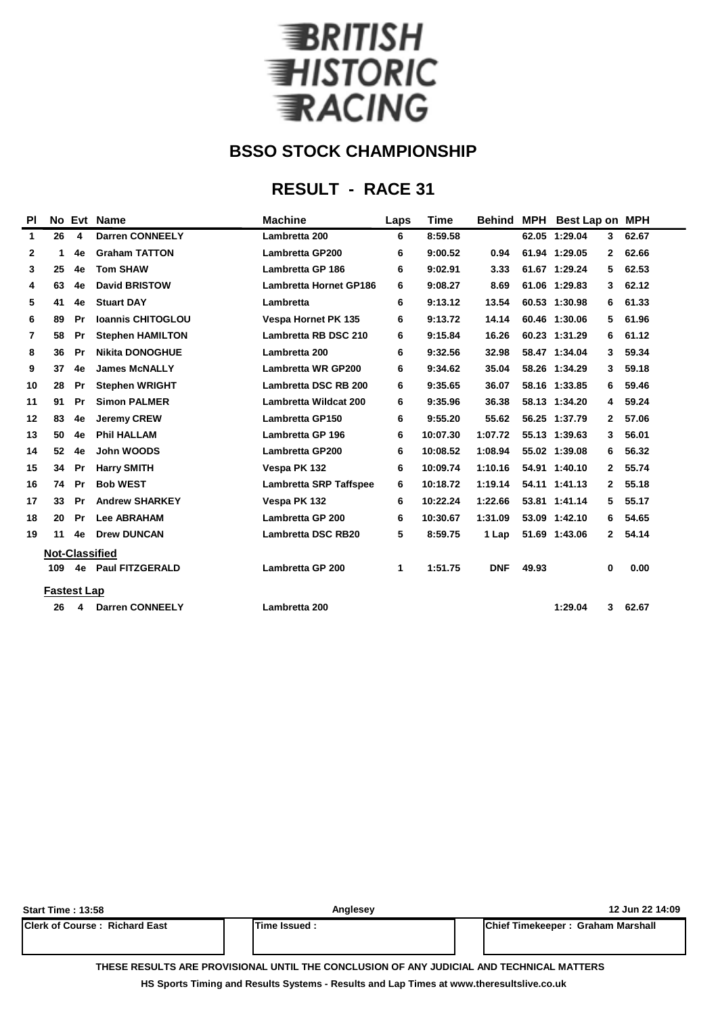

## **RESULT - RACE 31**

| <b>PI</b>    |                       | No Evt    | <b>Name</b>              | <b>Machine</b>                | Laps | <b>Time</b> | <b>Behind MPH</b> |       | <b>Best Lap on MPH</b> |              |       |  |
|--------------|-----------------------|-----------|--------------------------|-------------------------------|------|-------------|-------------------|-------|------------------------|--------------|-------|--|
| 1            | 26                    | 4         | <b>Darren CONNEELY</b>   | Lambretta 200                 | 6    | 8:59.58     |                   |       | 62.05 1:29.04          | 3            | 62.67 |  |
| $\mathbf{2}$ | 1                     | 4e        | <b>Graham TATTON</b>     | <b>Lambretta GP200</b>        | 6    | 9:00.52     | 0.94              |       | 61.94 1:29.05          | $\mathbf{2}$ | 62.66 |  |
| 3            | 25                    | 4e        | <b>Tom SHAW</b>          | Lambretta GP 186              | 6    | 9:02.91     | 3.33              |       | 61.67 1:29.24          | 5            | 62.53 |  |
| 4            | 63                    | 4e        | <b>David BRISTOW</b>     | <b>Lambretta Hornet GP186</b> | 6    | 9:08.27     | 8.69              |       | 61.06 1:29.83          | 3            | 62.12 |  |
| 5            | 41                    | 4e        | <b>Stuart DAY</b>        | Lambretta                     | 6    | 9:13.12     | 13.54             |       | 60.53 1:30.98          | 6            | 61.33 |  |
| 6            | 89                    | Pr        | <b>Ioannis CHITOGLOU</b> | <b>Vespa Hornet PK 135</b>    | 6    | 9:13.72     | 14.14             |       | 60.46 1:30.06          | 5            | 61.96 |  |
| 7            | 58                    | Pr        | <b>Stephen HAMILTON</b>  | Lambretta RB DSC 210          | 6    | 9:15.84     | 16.26             |       | 60.23 1:31.29          | 6            | 61.12 |  |
| 8            | 36                    | Pr        | <b>Nikita DONOGHUE</b>   | Lambretta 200                 | 6    | 9:32.56     | 32.98             |       | 58.47 1:34.04          | 3            | 59.34 |  |
| 9            | 37                    | 4e        | <b>James McNALLY</b>     | <b>Lambretta WR GP200</b>     | 6    | 9:34.62     | 35.04             |       | 58.26 1:34.29          | 3            | 59.18 |  |
| 10           | 28                    | Pr        | <b>Stephen WRIGHT</b>    | Lambretta DSC RB 200          | 6    | 9:35.65     | 36.07             |       | 58.16 1:33.85          | 6            | 59.46 |  |
| 11           | 91                    | Pr        | <b>Simon PALMER</b>      | Lambretta Wildcat 200         | 6    | 9:35.96     | 36.38             |       | 58.13 1:34.20          | 4            | 59.24 |  |
| 12           | 83                    | 4e        | <b>Jeremy CREW</b>       | <b>Lambretta GP150</b>        | 6    | 9:55.20     | 55.62             |       | 56.25 1:37.79          | $\mathbf{2}$ | 57.06 |  |
| 13           | 50                    | 4e        | <b>Phil HALLAM</b>       | <b>Lambretta GP 196</b>       | 6    | 10:07.30    | 1:07.72           |       | 55.13 1:39.63          | 3            | 56.01 |  |
| 14           | 52                    | 4e        | John WOODS               | <b>Lambretta GP200</b>        | 6    | 10:08.52    | 1:08.94           |       | 55.02 1:39.08          | 6            | 56.32 |  |
| 15           | 34                    | Pr        | <b>Harry SMITH</b>       | Vespa PK 132                  | 6    | 10:09.74    | 1:10.16           |       | 54.91 1:40.10          | $\mathbf{2}$ | 55.74 |  |
| 16           | 74                    | <b>Pr</b> | <b>Bob WEST</b>          | <b>Lambretta SRP Taffspee</b> | 6    | 10:18.72    | 1:19.14           |       | 54.11 1:41.13          | $\mathbf{2}$ | 55.18 |  |
| 17           | 33                    | Pr        | <b>Andrew SHARKEY</b>    | Vespa PK 132                  | 6    | 10:22.24    | 1:22.66           |       | 53.81 1:41.14          | 5            | 55.17 |  |
| 18           | 20                    | Pr        | <b>Lee ABRAHAM</b>       | Lambretta GP 200              | 6    | 10:30.67    | 1:31.09           |       | 53.09 1:42.10          | 6            | 54.65 |  |
| 19           | 11                    | 4e        | <b>Drew DUNCAN</b>       | <b>Lambretta DSC RB20</b>     | 5    | 8:59.75     | 1 Lap             |       | 51.69 1:43.06          | 2            | 54.14 |  |
|              | <b>Not-Classified</b> |           |                          |                               |      |             |                   |       |                        |              |       |  |
|              | 109                   | 4e        | <b>Paul FITZGERALD</b>   | <b>Lambretta GP 200</b>       | 1    | 1:51.75     | <b>DNF</b>        | 49.93 |                        | $\bf{0}$     | 0.00  |  |
|              | <b>Fastest Lap</b>    |           |                          |                               |      |             |                   |       |                        |              |       |  |
|              | 26                    | 4         | <b>Darren CONNEELY</b>   | Lambretta 200                 |      |             |                   |       | 1:29.04                | 3            | 62.67 |  |
|              |                       |           |                          |                               |      |             |                   |       |                        |              |       |  |

| <b>Start Time: 13:58</b>              | Anglesey             | 12 Jun 22 14:09                   |
|---------------------------------------|----------------------|-----------------------------------|
| <b>IClerk of Course: Richard East</b> | <b>ITime Issued:</b> | Chief Timekeeper: Graham Marshall |
|                                       |                      |                                   |

**THESE RESULTS ARE PROVISIONAL UNTIL THE CONCLUSION OF ANY JUDICIAL AND TECHNICAL MATTERS**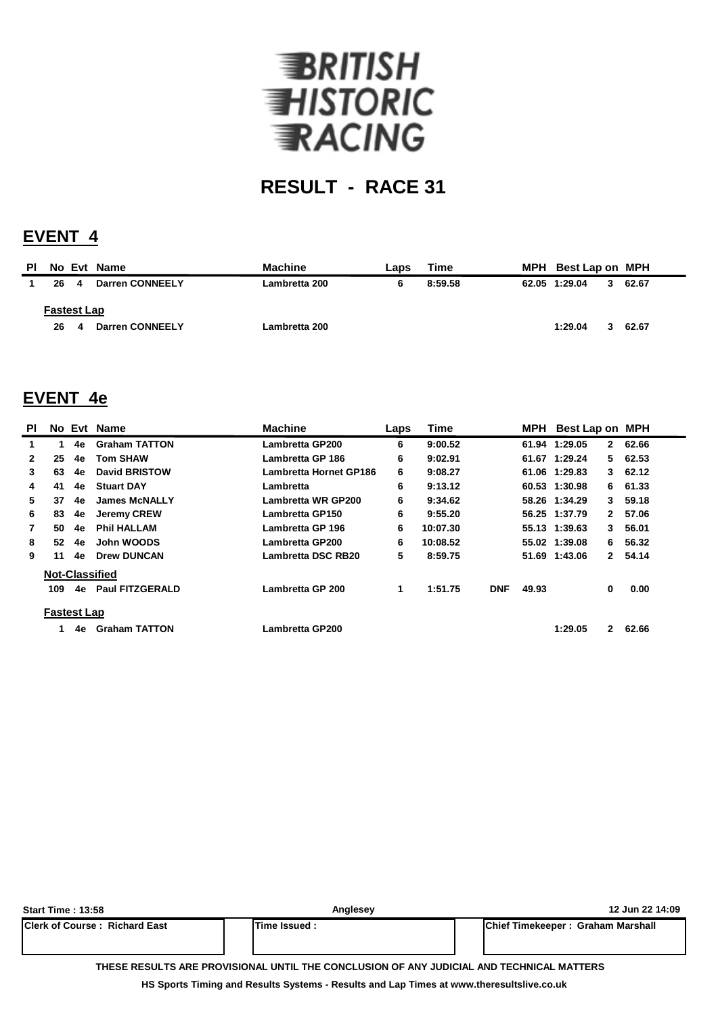

## **EVENT 4**

| <b>PI</b> |                    |   | No Evt Name            | <b>Machine</b> | Laps | Time    | MPH Best Lap on MPH |   |       |
|-----------|--------------------|---|------------------------|----------------|------|---------|---------------------|---|-------|
|           | 26                 | 4 | <b>Darren CONNEELY</b> | Lambretta 200  | 6    | 8:59.58 | 62.05 1:29.04       | 3 | 62.67 |
|           | <b>Fastest Lap</b> |   |                        |                |      |         | 1:29.04             |   |       |
|           | 26                 | 4 | Darren CONNEELY        | Lambretta 200  |      |         |                     | 3 | 62.67 |

### **EVENT 4e**

| ΡI           |                    |    | No Evt Name            | <b>Machine</b>            | Laps | <b>Time</b> |            |       | MPH Best Lap on MPH |              |        |
|--------------|--------------------|----|------------------------|---------------------------|------|-------------|------------|-------|---------------------|--------------|--------|
| 1.           | 1.                 | 4e | <b>Graham TATTON</b>   | Lambretta GP200           | 6    | 9:00.52     |            |       | 61.94 1:29.05       | $\mathbf{2}$ | 62.66  |
| $\mathbf{2}$ | 25                 | 4e | <b>Tom SHAW</b>        | Lambretta GP 186          | 6    | 9:02.91     |            |       | 61.67 1:29.24       |              | 562.53 |
| 3            | 63                 | 4e | <b>David BRISTOW</b>   | Lambretta Hornet GP186    | 6    | 9:08.27     |            |       | 61.06 1:29.83       |              | 362.12 |
| 4            | 41                 | 4e | <b>Stuart DAY</b>      | Lambretta                 | 6    | 9:13.12     |            |       | 60.53 1:30.98       | 6.           | 61.33  |
| 5.           | 37                 | 4e | <b>James McNALLY</b>   | <b>Lambretta WR GP200</b> | 6    | 9:34.62     |            |       | 58.26 1:34.29       | 3            | 59.18  |
| 6            | 83                 | 4e | <b>Jeremy CREW</b>     | <b>Lambretta GP150</b>    | 6    | 9:55.20     |            |       | 56.25 1:37.79       | $\mathbf{2}$ | 57.06  |
| 7            | 50                 | 4e | <b>Phil HALLAM</b>     | Lambretta GP 196          | 6    | 10:07.30    |            |       | 55.13 1:39.63       | 3            | 56.01  |
| 8            | 52                 | 4e | John WOODS             | Lambretta GP200           | 6    | 10:08.52    |            |       | 55.02 1:39.08       | 6.           | 56.32  |
| 9            | 11                 | 4e | <b>Drew DUNCAN</b>     | Lambretta DSC RB20        | 5    | 8:59.75     |            |       | 51.69 1:43.06       | $\mathbf{2}$ | 54.14  |
|              |                    |    | <b>Not-Classified</b>  |                           |      |             |            |       |                     |              |        |
|              | 109                | 4e | <b>Paul FITZGERALD</b> | Lambretta GP 200          | 1    | 1:51.75     | <b>DNF</b> | 49.93 |                     | 0            | 0.00   |
|              | <b>Fastest Lap</b> |    |                        |                           |      |             |            |       |                     |              |        |
|              |                    | 4e | <b>Graham TATTON</b>   | Lambretta GP200           |      |             |            |       | 1:29.05             | $\mathbf{2}$ | 62.66  |

| <b>Start Time: 13:58</b>             | Anglesey                                                                                 | 12 Jun 22 14:09                           |
|--------------------------------------|------------------------------------------------------------------------------------------|-------------------------------------------|
| <b>Clerk of Course: Richard East</b> | Time Issued:                                                                             | <b>IChief Timekeeper: Graham Marshall</b> |
|                                      | THESE RESULTS ARE PROVISIONAL UNTIL THE CONCLUSION OF ANY JUDICIAL AND TECHNICAL MATTERS |                                           |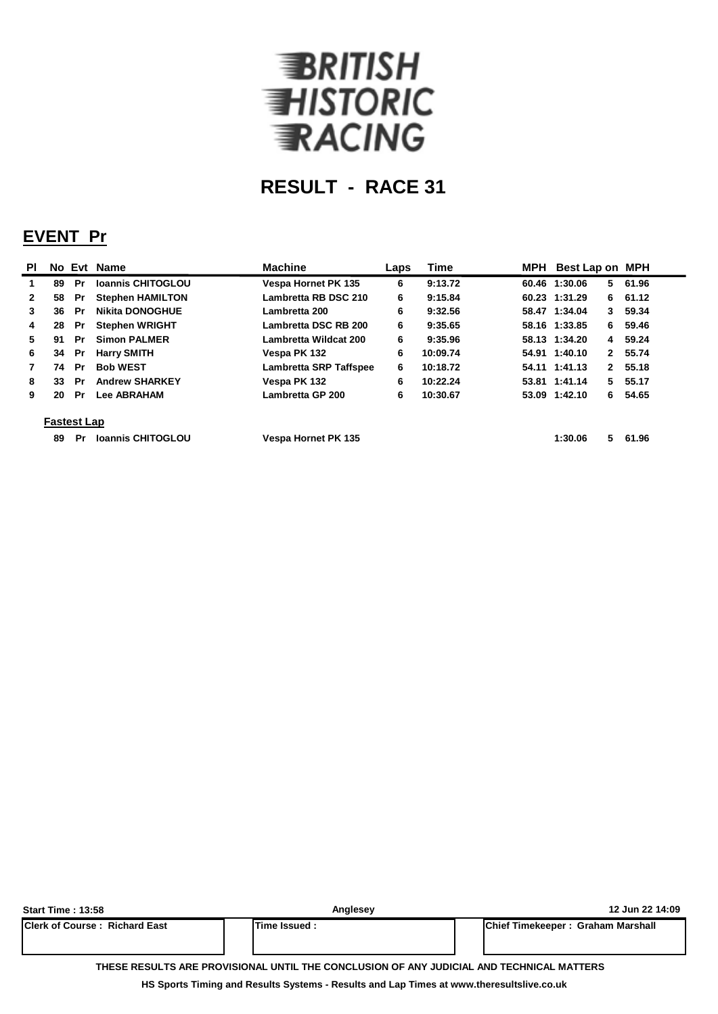

## **EVENT Pr**

| <b>PI</b>    |                    |           | No Evt Name              | <b>Machine</b>                | Laps | <b>Time</b> |  | MPH Best Lap on MPH |         |  |  |
|--------------|--------------------|-----------|--------------------------|-------------------------------|------|-------------|--|---------------------|---------|--|--|
|              | 89                 | Pr        | <b>Ioannis CHITOGLOU</b> | <b>Vespa Hornet PK 135</b>    | 6    | 9:13.72     |  | 60.46 1:30.06<br>5. | 61.96   |  |  |
| $\mathbf{2}$ | 58                 | Pr        | <b>Stephen HAMILTON</b>  | Lambretta RB DSC 210          | 6    | 9:15.84     |  | 60.23 1:31.29       | 6 61.12 |  |  |
| 3            | 36                 | -Pr       | <b>Nikita DONOGHUE</b>   | Lambretta 200                 | 6    | 9:32.56     |  | 58.47 1:34.04       | 3 59.34 |  |  |
| 4            | 28                 | Pr        | <b>Stephen WRIGHT</b>    | Lambretta DSC RB 200          | 6    | 9:35.65     |  | 58.16 1:33.85       | 6 59.46 |  |  |
| 5.           | 91                 | <b>Pr</b> | <b>Simon PALMER</b>      | Lambretta Wildcat 200         | 6    | 9:35.96     |  | 58.13 1:34.20       | 4 59.24 |  |  |
| 6            | 34                 | Pr        | <b>Harry SMITH</b>       | Vespa PK 132                  | 6    | 10:09.74    |  | 54.91 1:40.10       | 2 55.74 |  |  |
|              | 74                 | Pr        | <b>Bob WEST</b>          | <b>Lambretta SRP Taffspee</b> | 6    | 10:18.72    |  | 54.11 1:41.13       | 2 55.18 |  |  |
| 8            | 33                 | Pr        | <b>Andrew SHARKEY</b>    | Vespa PK 132                  | 6    | 10:22.24    |  | 53.81 1:41.14       | 5 55.17 |  |  |
| 9            | 20                 | Pr        | <b>Lee ABRAHAM</b>       | Lambretta GP 200              | 6    | 10:30.67    |  | 53.09 1:42.10       | 6 54.65 |  |  |
|              | <b>Fastest Lap</b> |           |                          |                               |      |             |  |                     |         |  |  |
|              | 89                 | Pr        | <b>Ioannis CHITOGLOU</b> | <b>Vespa Hornet PK 135</b>    |      |             |  | 5.<br>1:30.06       | 61.96   |  |  |

| <b>Start Time: 13:58</b>                                                                 | Anglesey             | 12 Jun 22 14:09                           |  |  |  |  |  |  |  |  |
|------------------------------------------------------------------------------------------|----------------------|-------------------------------------------|--|--|--|--|--|--|--|--|
| <b>Clerk of Course: Richard East</b>                                                     | <b>ITime Issued:</b> | <b>IChief Timekeeper: Graham Marshall</b> |  |  |  |  |  |  |  |  |
| THESE RESULTS ARE PROVISIONAL UNTIL THE CONCLUSION OF ANY JUDICIAL AND TECHNICAL MATTERS |                      |                                           |  |  |  |  |  |  |  |  |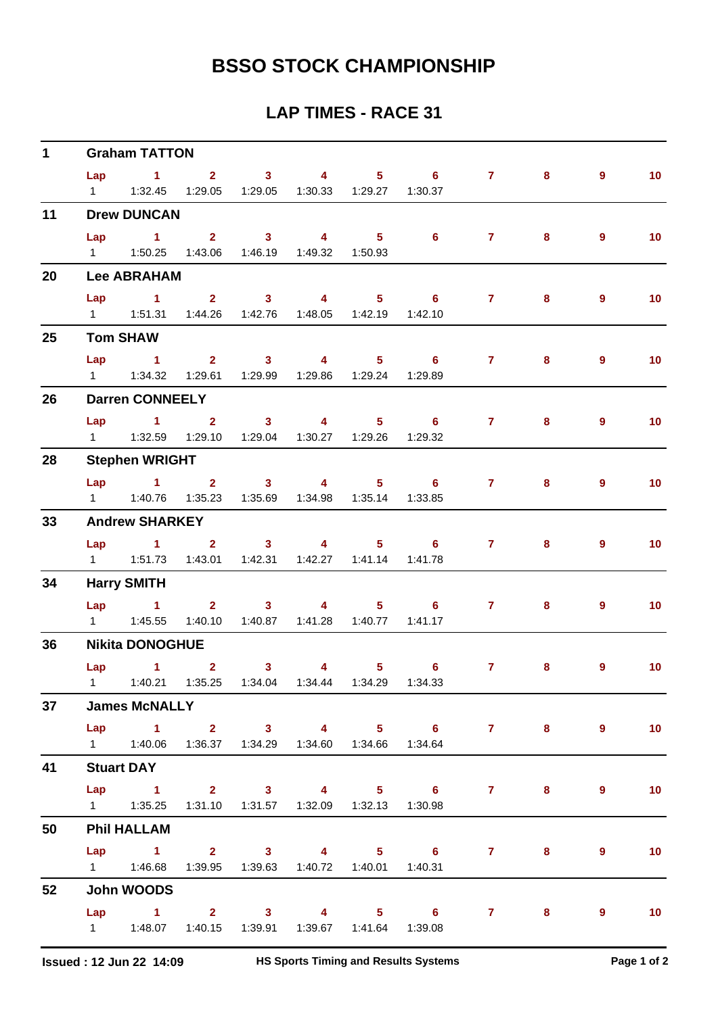| $\mathbf 1$ |                        | <b>Graham TATTON</b>                                                             |  |                                                          |                |                         |                                                                                |                 |       |                |                   |  |  |  |  |
|-------------|------------------------|----------------------------------------------------------------------------------|--|----------------------------------------------------------|----------------|-------------------------|--------------------------------------------------------------------------------|-----------------|-------|----------------|-------------------|--|--|--|--|
|             | Lap                    | $1 \t 2 \t 3$<br>1   1:32.45   1:29.05   1:29.05   1:30.33   1:29.27   1:30.37   |  |                                                          | $\overline{4}$ |                         | $5 \t\t 6$                                                                     | $\mathbf{7}$    | 8     | $\overline{9}$ | 10 <sub>1</sub>   |  |  |  |  |
| 11          | <b>Drew DUNCAN</b>     |                                                                                  |  |                                                          |                |                         |                                                                                |                 |       |                |                   |  |  |  |  |
|             |                        | 1   1:50.25   1:43.06   1:46.19   1:49.32   1:50.93                              |  |                                                          |                |                         | Lap 1 2 3 4 5 6 7                                                              |                 | 8     | $\overline{9}$ | 10 <sub>1</sub>   |  |  |  |  |
| 20          |                        | <b>Lee ABRAHAM</b>                                                               |  |                                                          |                |                         |                                                                                |                 |       |                |                   |  |  |  |  |
|             | Lap                    | $\sim$ $-1$<br>1   1:51.31   1:44.26   1:42.76   1:48.05   1:42.19   1:42.10     |  | 2 3 4 5 6                                                |                |                         |                                                                                | $\mathbf{7}$    | 8     | 9              | 10 <sub>1</sub>   |  |  |  |  |
| 25          |                        | <b>Tom SHAW</b>                                                                  |  |                                                          |                |                         |                                                                                |                 |       |                |                   |  |  |  |  |
|             | Lap                    | $\sim$ 1                                                                         |  | 2 3 4 5 6<br>1:29.61  1:29.99  1:29.86  1:29.24  1:29.89 |                |                         |                                                                                | 7 <sup>7</sup>  | 8     | $\overline{9}$ | 10 <sub>1</sub>   |  |  |  |  |
| 26          |                        | <b>Darren CONNEELY</b>                                                           |  |                                                          |                |                         |                                                                                |                 |       |                |                   |  |  |  |  |
|             | Lap                    | 1   1:32.59   1:29.10   1:29.04   1:30.27   1:29.26   1:29.32                    |  |                                                          |                |                         | $1$ and $2$ and $3$ and $4$ and $5$ b and 6                                    | $7 \sim$        | 8     | 9              | 10 <sub>1</sub>   |  |  |  |  |
| 28          |                        | <b>Stephen WRIGHT</b>                                                            |  |                                                          |                |                         |                                                                                |                 |       |                |                   |  |  |  |  |
|             |                        | 1   1:40.76   1:35.23   1:35.69   1:34.98   1:35.14   1:33.85                    |  |                                                          |                |                         | Lap 1 2 3 4 5 6 7                                                              |                 | 8     | $\overline{9}$ | 10 <sub>1</sub>   |  |  |  |  |
| 33          | <b>Andrew SHARKEY</b>  |                                                                                  |  |                                                          |                |                         |                                                                                |                 |       |                |                   |  |  |  |  |
|             | Lap                    | $1 \t2 \t3 \t4$<br>1   1:51.73   1:43.01   1:42.31   1:42.27   1:41.14   1:41.78 |  |                                                          |                |                         | $5 \t\t 6$                                                                     | $\mathbf{7}$    | 8     | $\overline{9}$ | 10 <sub>1</sub>   |  |  |  |  |
| 34          | <b>Harry SMITH</b>     |                                                                                  |  |                                                          |                |                         |                                                                                |                 |       |                |                   |  |  |  |  |
|             |                        |                                                                                  |  | 1:40.10  1:40.87  1:41.28  1:40.77  1:41.17              |                |                         | Lap 1 2 3 4 5 6                                                                | $7 \quad \circ$ | 8     | $\overline{9}$ | 10 <sub>1</sub>   |  |  |  |  |
| 36          | <b>Nikita DONOGHUE</b> |                                                                                  |  |                                                          |                |                         |                                                                                |                 |       |                |                   |  |  |  |  |
|             |                        | Lap $1$ 2                                                                        |  | 3 <sup>7</sup>                                           |                | $\overline{\mathbf{4}}$ | $5^{\circ}$ 6<br>1   1:40.21   1:35.25   1:34.04   1:34.44   1:34.29   1:34.33 | 7 <sup>7</sup>  | 8     | 9              | 10                |  |  |  |  |
| 37          | <b>James McNALLY</b>   |                                                                                  |  |                                                          |                |                         |                                                                                |                 |       |                |                   |  |  |  |  |
|             |                        | 1   1:40.06   1:36.37   1:34.29   1:34.60   1:34.66   1:34.64                    |  |                                                          |                |                         | Lap 1 2 3 4 5 6 7 8                                                            |                 |       | $\overline{9}$ | $\overline{10}$   |  |  |  |  |
| 41          | <b>Stuart DAY</b>      |                                                                                  |  |                                                          |                |                         |                                                                                |                 |       |                |                   |  |  |  |  |
|             |                        | 1   1:35.25   1:31.10   1:31.57   1:32.09   1:32.13   1:30.98                    |  |                                                          |                |                         | Lap 1 2 3 4 5 6 7                                                              |                 | $8 -$ | 9              | 10                |  |  |  |  |
| 50          |                        | <b>Phil HALLAM</b>                                                               |  |                                                          |                |                         |                                                                                |                 |       |                |                   |  |  |  |  |
|             |                        | 1   1:46.68   1:39.95   1:39.63   1:40.72   1:40.01   1:40.31                    |  |                                                          |                |                         | Lap 1 2 3 4 5 6 7 8                                                            |                 |       | $\overline{9}$ | 10 <sub>1</sub>   |  |  |  |  |
| 52          |                        | John WOODS                                                                       |  |                                                          |                |                         |                                                                                |                 |       |                |                   |  |  |  |  |
|             |                        | 1   1:48.07   1:40.15   1:39.91   1:39.67   1:41.64   1:39.08                    |  |                                                          |                |                         | Lap 1 2 3 4 5 6 7 8                                                            |                 |       | 9              | $\blacksquare$ 10 |  |  |  |  |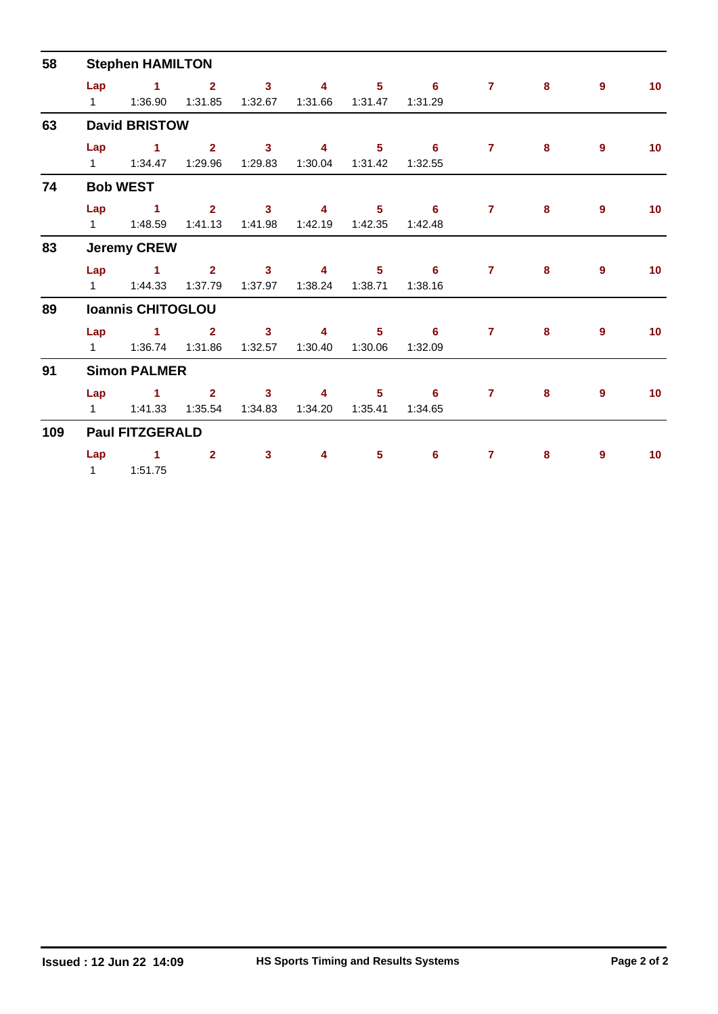| 58  |                          | <b>Stephen HAMILTON</b>            |                           |                                    |                     |                           |                                       |                |   |             |    |  |  |  |  |
|-----|--------------------------|------------------------------------|---------------------------|------------------------------------|---------------------|---------------------------|---------------------------------------|----------------|---|-------------|----|--|--|--|--|
|     | Lap                      | $\sim$ $-1$                        | $\sim$ 2<br>1:31.85       | $\overline{\mathbf{3}}$            | 4                   | 5 <sub>1</sub>            | $\overline{\phantom{0}}$ 6<br>1:31.29 | $\mathbf{7}$   | 8 | $9^{\circ}$ | 10 |  |  |  |  |
| 63  | <b>David BRISTOW</b>     |                                    |                           |                                    |                     |                           |                                       |                |   |             |    |  |  |  |  |
|     | Lap                      | $\sim$ 1.000 $\sim$ 1.000 $\sim$   | $\overline{2}$            | 3 <sup>7</sup><br>1:29.83          | $\sim$ 4 and $\sim$ | 1:30.04  1:31.42          | $5 \t\t 6$<br>1:32.55                 | $7^{\circ}$    | 8 | 9           | 10 |  |  |  |  |
| 74  | <b>Bob WEST</b>          |                                    |                           |                                    |                     |                           |                                       |                |   |             |    |  |  |  |  |
|     |                          | Lap 1<br>$1 \t 1:48.59$            | $2^{\circ}$<br>1:41.13    | $\overline{\mathbf{3}}$<br>1:41.98 | $\overline{4}$      | 5 <sub>1</sub>            | $\overline{\phantom{0}}$ 6<br>1:42.48 | $\overline{7}$ | 8 | 9           | 10 |  |  |  |  |
| 83  | <b>Jeremy CREW</b>       |                                    |                           |                                    |                     |                           |                                       |                |   |             |    |  |  |  |  |
|     |                          | Lap 1<br>1   1:44.33   1:37.79     | $2^{\circ}$               | $\overline{\mathbf{3}}$            | $\sim$ 4            | $5 -$                     | $\overline{\phantom{a}}$ 6<br>1:38.16 | $\mathbf{7}$   | 8 | 9           | 10 |  |  |  |  |
| 89  | <b>Ioannis CHITOGLOU</b> |                                    |                           |                                    |                     |                           |                                       |                |   |             |    |  |  |  |  |
|     | Lap                      | $\sim$ 1.000 $\sim$ 1.000 $\sim$   | $\overline{2}$<br>1:31.86 | $\mathbf{3}$<br>1:32.57            | 4<br>1:30.40        | 5 <sup>1</sup><br>1:30.06 | 6<br>1:32.09                          | $\overline{7}$ | 8 | 9           | 10 |  |  |  |  |
| 91  | <b>Simon PALMER</b>      |                                    |                           |                                    |                     |                           |                                       |                |   |             |    |  |  |  |  |
|     | Lap                      | $\sim$ $\sim$ $\sim$ $\sim$ $\sim$ | $\mathbf{2}$              | 3 <sup>1</sup><br>1:34.83          | 4                   |                           | $5 \t\t 6$<br>1:34.65                 | $\overline{7}$ | 8 | 9           | 10 |  |  |  |  |
| 109 | <b>Paul FITZGERALD</b>   |                                    |                           |                                    |                     |                           |                                       |                |   |             |    |  |  |  |  |
|     | Lap                      | $\blacktriangleleft$<br>111:51.75  | $\overline{2}$            | $\mathbf{3}$                       | 4                   | $5\phantom{1}$            | 6                                     | $\overline{7}$ | 8 | 9           | 10 |  |  |  |  |